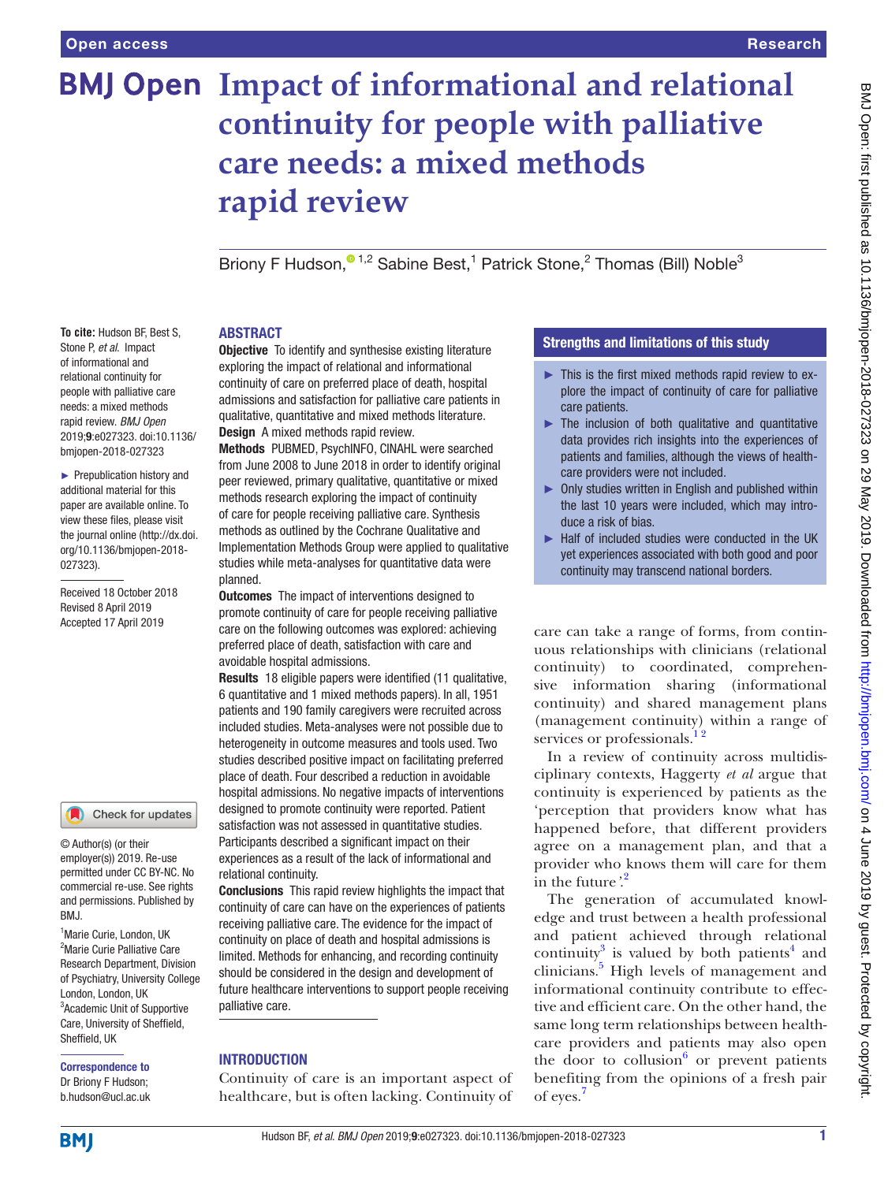**To cite:** Hudson BF, Best S, Stone P, *et al*. Impact of informational and relational continuity for people with palliative care needs: a mixed methods rapid review. *BMJ Open* 2019;9:e027323. doi:10.1136/ bmjopen-2018-027323 ► Prepublication history and additional material for this paper are available online. To view these files, please visit the journal online [\(http://dx.doi.](http://dx.doi.org/10.1136/bmjopen-2018-027323) [org/10.1136/bmjopen-2018-](http://dx.doi.org/10.1136/bmjopen-2018-027323)

[027323\)](http://dx.doi.org/10.1136/bmjopen-2018-027323).

Received 18 October 2018 Revised 8 April 2019 Accepted 17 April 2019

<sup>1</sup> Marie Curie, London, UK <sup>2</sup>Marie Curie Palliative Care Research Department, Division of Psychiatry, University College London, London, UK 3 Academic Unit of Supportive Care, University of Sheffield,

© Author(s) (or their employer(s)) 2019. Re-use permitted under CC BY-NC. No commercial re-use. See rights and permissions. Published by

Check for updates

# **BMJ Open Impact of informational and relational continuity for people with palliative care needs: a mixed methods rapid review**

Briony F Hudson[,](http://orcid.org/0000-0002-2907-1764)<sup>01,2</sup> Sabine Best,<sup>1</sup> Patrick Stone,<sup>2</sup> Thomas (Bill) Noble<sup>3</sup>

## **ABSTRACT**

**Objective** To identify and synthesise existing literature exploring the impact of relational and informational continuity of care on preferred place of death, hospital admissions and satisfaction for palliative care patients in qualitative, quantitative and mixed methods literature. Design A mixed methods rapid review.

Methods PUBMED, PsychINFO, CINAHL were searched from June 2008 to June 2018 in order to identify original peer reviewed, primary qualitative, quantitative or mixed methods research exploring the impact of continuity of care for people receiving palliative care. Synthesis methods as outlined by the Cochrane Qualitative and Implementation Methods Group were applied to qualitative studies while meta-analyses for quantitative data were planned.

**Outcomes** The impact of interventions designed to promote continuity of care for people receiving palliative care on the following outcomes was explored: achieving preferred place of death, satisfaction with care and avoidable hospital admissions.

Results 18 eligible papers were identified (11 qualitative, 6 quantitative and 1 mixed methods papers). In all, 1951 patients and 190 family caregivers were recruited across included studies. Meta-analyses were not possible due to heterogeneity in outcome measures and tools used. Two studies described positive impact on facilitating preferred place of death. Four described a reduction in avoidable hospital admissions. No negative impacts of interventions designed to promote continuity were reported. Patient satisfaction was not assessed in quantitative studies. Participants described a significant impact on their experiences as a result of the lack of informational and relational continuity.

Conclusions This rapid review highlights the impact that continuity of care can have on the experiences of patients receiving palliative care. The evidence for the impact of continuity on place of death and hospital admissions is limited. Methods for enhancing, and recording continuity should be considered in the design and development of future healthcare interventions to support people receiving palliative care.

## **INTRODUCTION**

Continuity of care is an important aspect of healthcare, but is often lacking. Continuity of

## Strengths and limitations of this study

- $\blacktriangleright$  This is the first mixed methods rapid review to explore the impact of continuity of care for palliative care patients.
- $\blacktriangleright$  The inclusion of both qualitative and quantitative data provides rich insights into the experiences of patients and families, although the views of healthcare providers were not included.
- ► Only studies written in English and published within the last 10 years were included, which may introduce a risk of bias.
- ► Half of included studies were conducted in the UK yet experiences associated with both good and poor continuity may transcend national borders.

care can take a range of forms, from continuous relationships with clinicians (relational continuity) to coordinated, comprehensive information sharing (informational continuity) and shared management plans (management continuity) within a range of services or professionals.<sup>12</sup>

In a review of continuity across multidisciplinary contexts, Haggerty *et al* argue that continuity is experienced by patients as the 'perception that providers know what has happened before, that different providers agree on a management plan, and that a provider who knows them will care for them in the future*'*. [2](#page-12-1)

The generation of accumulated knowledge and trust between a health professional and patient achieved through relational continuity<sup>[3](#page-12-2)</sup> is valued by both patients<sup>[4](#page-12-3)</sup> and clinicians.<sup>[5](#page-12-4)</sup> High levels of management and informational continuity contribute to effective and efficient care. On the other hand, the same long term relationships between healthcare providers and patients may also open the door to collusion $6$  or prevent patients benefiting from the opinions of a fresh pair of eyes.[7](#page-12-6)

**BMI** 

Sheffield, UK

BMJ.

Correspondence to Dr Briony F Hudson; b.hudson@ucl.ac.uk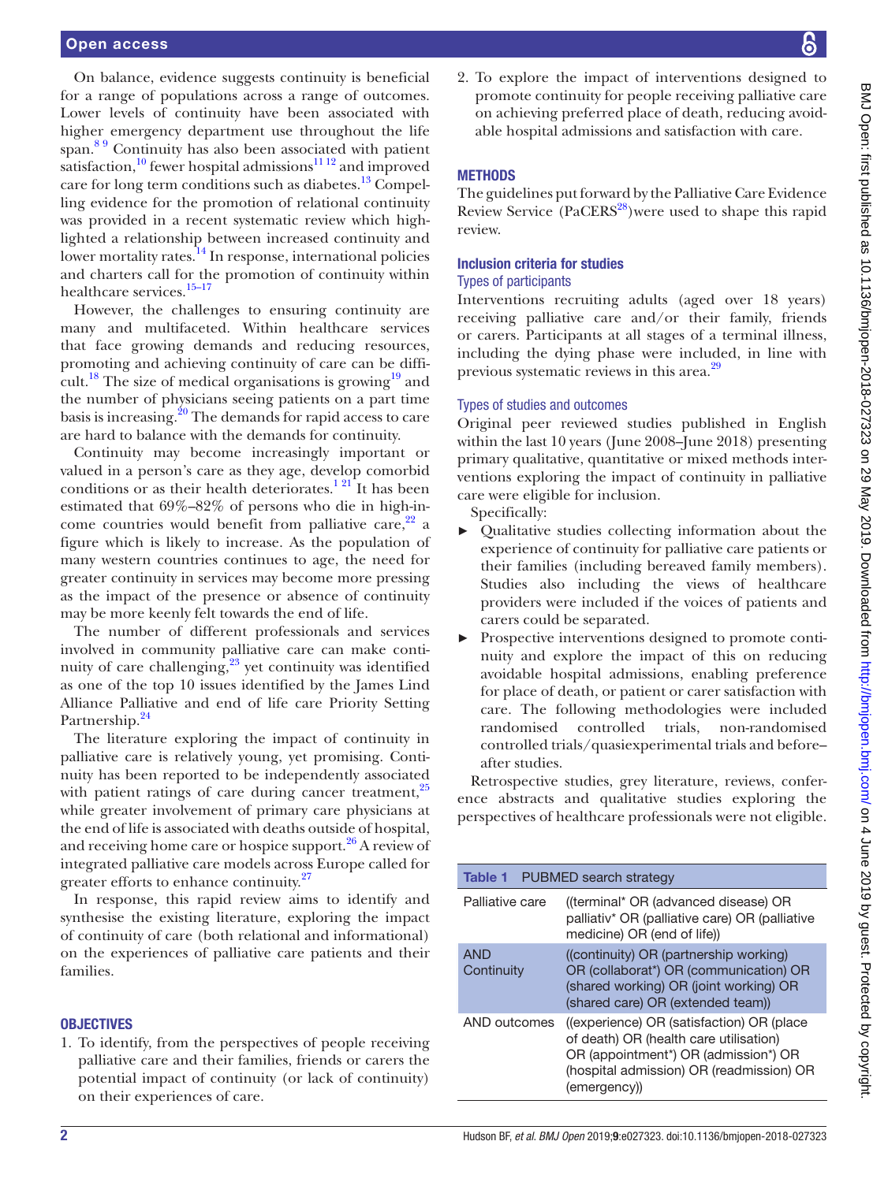On balance, evidence suggests continuity is beneficial for a range of populations across a range of outcomes. Lower levels of continuity have been associated with higher emergency department use throughout the life span.<sup>89</sup> Continuity has also been associated with patient satisfaction,<sup>10</sup> fewer hospital admissions<sup>11 12</sup> and improved care for long term conditions such as diabetes.<sup>13</sup> Compelling evidence for the promotion of relational continuity was provided in a recent systematic review which highlighted a relationship between increased continuity and lower mortality rates.<sup>[14](#page-12-11)</sup> In response, international policies and charters call for the promotion of continuity within healthcare services.<sup>[15–17](#page-12-12)</sup>

However, the challenges to ensuring continuity are many and multifaceted. Within healthcare services that face growing demands and reducing resources, promoting and achieving continuity of care can be difficult.<sup>18</sup> The size of medical organisations is growing<sup>19</sup> and the number of physicians seeing patients on a part time basis is increasing.<sup>[20](#page-13-1)</sup> The demands for rapid access to care are hard to balance with the demands for continuity.

Continuity may become increasingly important or valued in a person's care as they age, develop comorbid conditions or as their health deteriorates.<sup>121</sup>It has been estimated that 69%–82% of persons who die in high-income countries would benefit from palliative care,  $2^2$  a figure which is likely to increase. As the population of many western countries continues to age, the need for greater continuity in services may become more pressing as the impact of the presence or absence of continuity may be more keenly felt towards the end of life.

The number of different professionals and services involved in community palliative care can make continuity of care challenging, $23$  yet continuity was identified as one of the top 10 issues identified by the James Lind Alliance Palliative and end of life care Priority Setting Partnership.<sup>24</sup>

The literature exploring the impact of continuity in palliative care is relatively young, yet promising. Continuity has been reported to be independently associated with patient ratings of care during cancer treatment, $25$ while greater involvement of primary care physicians at the end of life is associated with deaths outside of hospital, and receiving home care or hospice support. $26$  A review of integrated palliative care models across Europe called for greater efforts to enhance continuity.<sup>[27](#page-13-7)</sup>

In response, this rapid review aims to identify and synthesise the existing literature, exploring the impact of continuity of care (both relational and informational) on the experiences of palliative care patients and their families.

#### **OBJECTIVES**

1. To identify, from the perspectives of people receiving palliative care and their families, friends or carers the potential impact of continuity (or lack of continuity) on their experiences of care.

2. To explore the impact of interventions designed to promote continuity for people receiving palliative care on achieving preferred place of death, reducing avoidable hospital admissions and satisfaction with care.

#### **METHODS**

The guidelines put forward by the Palliative Care Evidence Review Service  $(PaCERS<sup>28</sup>)$  $(PaCERS<sup>28</sup>)$  $(PaCERS<sup>28</sup>)$  were used to shape this rapid review.

## Inclusion criteria for studies

## Types of participants

Interventions recruiting adults (aged over 18 years) receiving palliative care and/or their family, friends or carers. Participants at all stages of a terminal illness, including the dying phase were included, in line with previous systematic reviews in this area.<sup>[29](#page-13-9)</sup>

#### Types of studies and outcomes

Original peer reviewed studies published in English within the last 10 years (June 2008–June 2018) presenting primary qualitative, quantitative or mixed methods interventions exploring the impact of continuity in palliative care were eligible for inclusion.

Specifically:

- ► Qualitative studies collecting information about the experience of continuity for palliative care patients or their families (including bereaved family members). Studies also including the views of healthcare providers were included if the voices of patients and carers could be separated.
- Prospective interventions designed to promote continuity and explore the impact of this on reducing avoidable hospital admissions, enabling preference for place of death, or patient or carer satisfaction with care. The following methodologies were included randomised controlled trials, non-randomised controlled trials/quasiexperimental trials and before– after studies.

Retrospective studies, grey literature, reviews, conference abstracts and qualitative studies exploring the perspectives of healthcare professionals were not eligible.

<span id="page-1-0"></span>

| <b>Table 1</b>           | PUBMED search strategy                                                                                                                                                                  |
|--------------------------|-----------------------------------------------------------------------------------------------------------------------------------------------------------------------------------------|
| Palliative care          | ((terminal* OR (advanced disease) OR<br>palliativ* OR (palliative care) OR (palliative<br>medicine) OR (end of life))                                                                   |
| <b>AND</b><br>Continuity | ((continuity) OR (partnership working)<br>OR (collaborat*) OR (communication) OR<br>(shared working) OR (joint working) OR<br>(shared care) OR (extended team))                         |
| AND outcomes             | ((experience) OR (satisfaction) OR (place<br>of death) OR (health care utilisation)<br>OR (appointment*) OR (admission*) OR<br>(hospital admission) OR (readmission) OR<br>(emergency)) |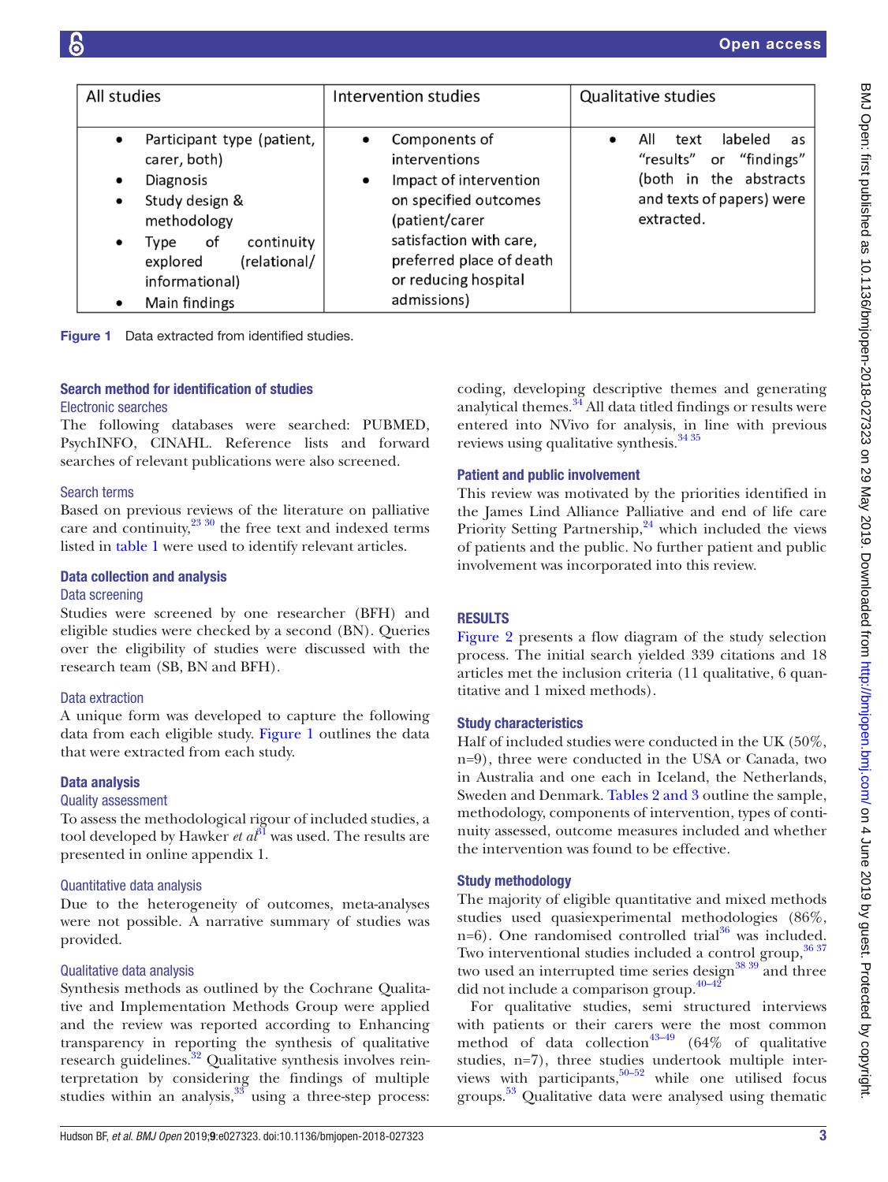| All studies                                                                                                                                                                                                                             | Intervention studies                                                                                                                                                                                           | Qualitative studies                                                                                                          |  |  |  |  |
|-----------------------------------------------------------------------------------------------------------------------------------------------------------------------------------------------------------------------------------------|----------------------------------------------------------------------------------------------------------------------------------------------------------------------------------------------------------------|------------------------------------------------------------------------------------------------------------------------------|--|--|--|--|
|                                                                                                                                                                                                                                         |                                                                                                                                                                                                                |                                                                                                                              |  |  |  |  |
| Participant type (patient,<br>$\bullet$<br>carer, both)<br>Diagnosis<br>$\bullet$<br>Study design &<br>$\bullet$<br>methodology<br>continuity<br>of<br>Type<br>$\bullet$<br>(relational/<br>explored<br>informational)<br>Main findings | Components of<br>interventions<br>Impact of intervention<br>$\bullet$<br>on specified outcomes<br>(patient/carer<br>satisfaction with care,<br>preferred place of death<br>or reducing hospital<br>admissions) | labeled<br>All<br>text<br>as<br>"results" or "findings"<br>(both in the abstracts<br>and texts of papers) were<br>extracted. |  |  |  |  |

<span id="page-2-0"></span>Figure 1 Data extracted from identified studies.

## Search method for identification of studies

#### Electronic searches

The following databases were searched: PUBMED, PsychINFO, CINAHL. Reference lists and forward searches of relevant publications were also screened.

#### Search terms

Based on previous reviews of the literature on palliative care and continuity, $^{23\,30}$  the free text and indexed terms listed in [table](#page-1-0) 1 were used to identify relevant articles.

## Data collection and analysis

## Data screening

Studies were screened by one researcher (BFH) and eligible studies were checked by a second (BN). Queries over the eligibility of studies were discussed with the research team (SB, BN and BFH).

#### Data extraction

A unique form was developed to capture the following data from each eligible study. [Figure](#page-2-0) 1 outlines the data that were extracted from each study.

#### Data analysis

#### Quality assessment

To assess the methodological rigour of included studies, a tool developed by Hawker *et*  $a^{\beta}$  was used. The results are presented in online [appendix 1.](https://dx.doi.org/10.1136/bmjopen-2018-027323)

## Quantitative data analysis

Due to the heterogeneity of outcomes, meta-analyses were not possible. A narrative summary of studies was provided.

## Qualitative data analysis

Synthesis methods as outlined by the Cochrane Qualitative and Implementation Methods Group were applied and the review was reported according to Enhancing transparency in reporting the synthesis of qualitative research guidelines.<sup>32</sup> Qualitative synthesis involves reinterpretation by considering the findings of multiple studies within an analysis, $3\frac{33}{10}$  $3\frac{33}{10}$  $3\frac{33}{10}$  using a three-step process:

coding, developing descriptive themes and generating analytical themes.<sup>34</sup> All data titled findings or results were entered into NVivo for analysis, in line with previous reviews using qualitative synthesis.<sup>[34 35](#page-13-13)</sup>

## Patient and public involvement

This review was motivated by the priorities identified in the James Lind Alliance Palliative and end of life care Priority Setting Partnership, $24$  which included the views of patients and the public. No further patient and public involvement was incorporated into this review.

## **RESULTS**

[Figure](#page-3-0) 2 presents a flow diagram of the study selection process. The initial search yielded 339 citations and 18 articles met the inclusion criteria (11 qualitative, 6 quantitative and 1 mixed methods).

## Study characteristics

Half of included studies were conducted in the UK (50%, n=9), three were conducted in the USA or Canada, two in Australia and one each in Iceland, the Netherlands, Sweden and Denmark. Tables [2 and 3](#page-4-0) outline the sample, methodology, components of intervention, types of continuity assessed, outcome measures included and whether the intervention was found to be effective.

## Study methodology

The majority of eligible quantitative and mixed methods studies used quasiexperimental methodologies (86%, n=6). One randomised controlled trial $36$  was included. Two interventional studies included a control group, [36 37](#page-13-14) two used an interrupted time series design<sup>[38 39](#page-13-15)</sup> and three did not include a comparison group. $40-42$ 

For qualitative studies, semi structured interviews with patients or their carers were the most common method of data collection<sup>43–49</sup> (64% of qualitative studies, n=7), three studies undertook multiple interviews with participants, $50-52$  while one utilised focus groups. [53](#page-13-19) Qualitative data were analysed using thematic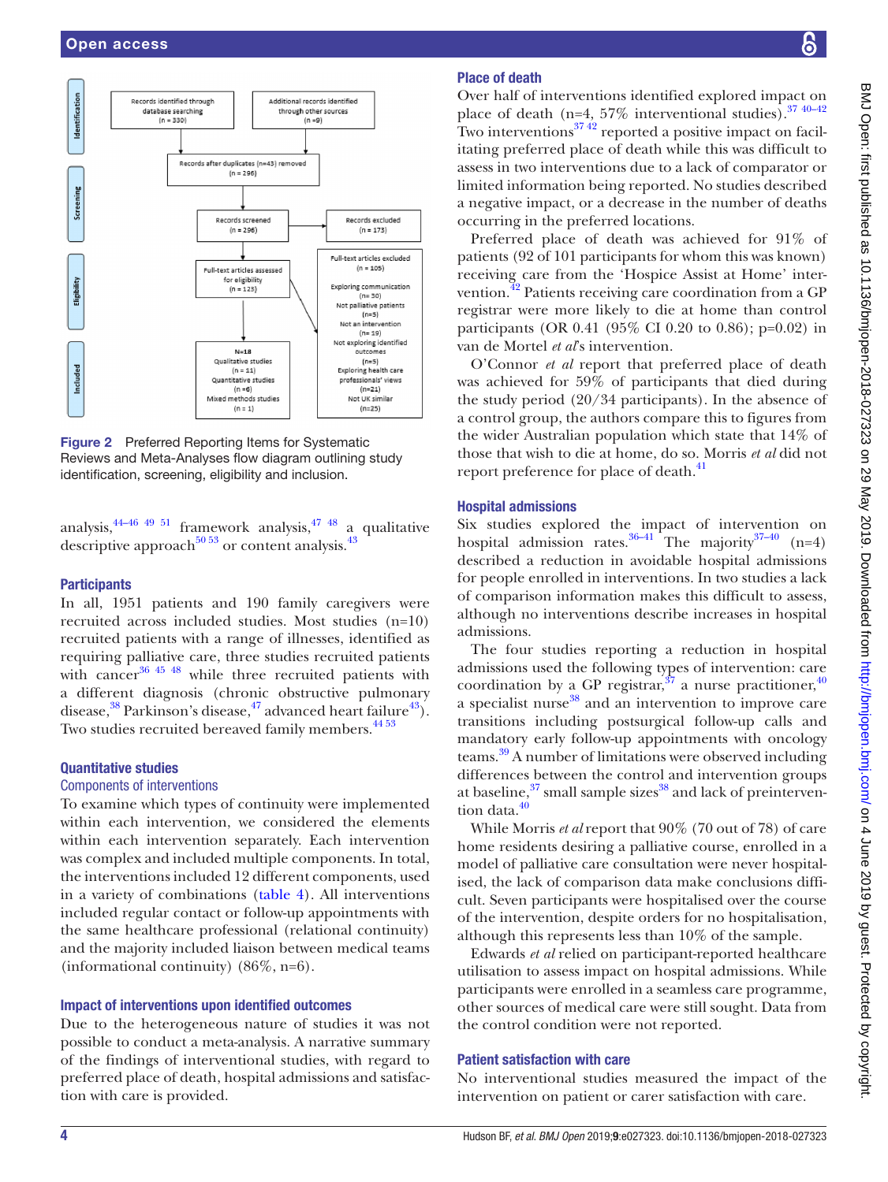

<span id="page-3-0"></span>Figure 2 Preferred Reporting Items for Systematic Reviews and Meta-Analyses flow diagram outlining study identification, screening, eligibility and inclusion.

analysis,  $44-46$   $49$   $51$  framework analysis,  $47$   $48$  a qualitative descriptive approach<sup>50 53</sup> or content analysis.<sup>43</sup>

#### **Participants**

In all, 1951 patients and 190 family caregivers were recruited across included studies. Most studies (n=10) recruited patients with a range of illnesses, identified as requiring palliative care, three studies recruited patients with cancer<sup>[36 45 48](#page-13-14)</sup> while three recruited patients with a different diagnosis (chronic obstructive pulmonary disease, $38$  Parkinson's disease, $47$  advanced heart failure $43$ ). Two studies recruited bereaved family members.<sup>4453</sup>

#### Quantitative studies

#### Components of interventions

To examine which types of continuity were implemented within each intervention, we considered the elements within each intervention separately. Each intervention was complex and included multiple components. In total, the interventions included 12 different components, used in a variety of combinations ([table](#page-9-0) 4). All interventions included regular contact or follow-up appointments with the same healthcare professional (relational continuity) and the majority included liaison between medical teams (informational continuity) (86%, n=6).

#### Impact of interventions upon identified outcomes

Due to the heterogeneous nature of studies it was not possible to conduct a meta-analysis. A narrative summary of the findings of interventional studies, with regard to preferred place of death, hospital admissions and satisfaction with care is provided.

## Place of death

Over half of interventions identified explored impact on place of death (n=4, 57% interventional studies). $3740-42$ Two interventions $3742$  reported a positive impact on facilitating preferred place of death while this was difficult to assess in two interventions due to a lack of comparator or limited information being reported. No studies described a negative impact, or a decrease in the number of deaths occurring in the preferred locations.

Preferred place of death was achieved for 91% of patients (92 of 101 participants for whom this was known) receiving care from the 'Hospice Assist at Home' inter-vention.<sup>[42](#page-13-23)</sup> Patients receiving care coordination from a GP registrar were more likely to die at home than control participants (OR 0.41 (95% CI 0.20 to 0.86); p=0.02) in van de Mortel *et al*'s intervention.

O'Connor *et al* report that preferred place of death was achieved for 59% of participants that died during the study period (20/34 participants). In the absence of a control group, the authors compare this to figures from the wider Australian population which state that 14% of those that wish to die at home, do so. Morris *et al* did not report preference for place of death.<sup>41</sup>

#### Hospital admissions

Six studies explored the impact of intervention on hospital admission rates.<sup>36–41</sup> The majority<sup>37–40</sup> (n=4) described a reduction in avoidable hospital admissions for people enrolled in interventions. In two studies a lack of comparison information makes this difficult to assess, although no interventions describe increases in hospital admissions.

The four studies reporting a reduction in hospital admissions used the following types of intervention: care coordination by a GP registrar,  $37$  a nurse practitioner,  $40$ a specialist nurse<sup>38</sup> and an intervention to improve care transitions including postsurgical follow-up calls and mandatory early follow-up appointments with oncology teams.[39](#page-13-25) A number of limitations were observed including differences between the control and intervention groups at baseline, $37 \text{ small sample sizes}^{38}$  and lack of preintervention data.<sup>40</sup>

While Morris *et al* report that 90% (70 out of 78) of care home residents desiring a palliative course, enrolled in a model of palliative care consultation were never hospitalised, the lack of comparison data make conclusions difficult. Seven participants were hospitalised over the course of the intervention, despite orders for no hospitalisation, although this represents less than 10% of the sample.

Edwards *et al* relied on participant-reported healthcare utilisation to assess impact on hospital admissions. While participants were enrolled in a seamless care programme, other sources of medical care were still sought. Data from the control condition were not reported.

#### Patient satisfaction with care

No interventional studies measured the impact of the intervention on patient or carer satisfaction with care.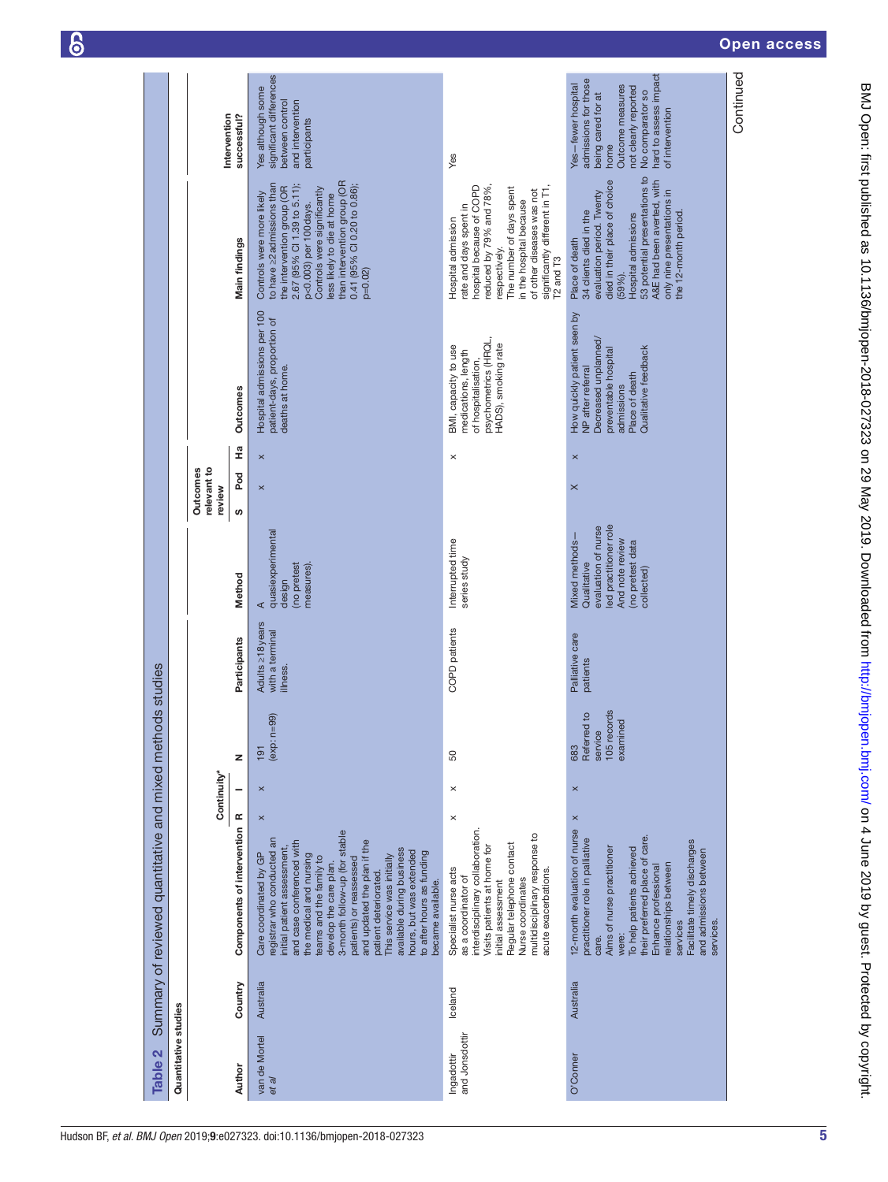| $\overline{\phantom{a}}$ |
|--------------------------|

<span id="page-4-0"></span>

| Quantitative studies<br>Table 2 |           | Summary of reviewed quantitative and mixed methods studies                                                                                                                                                                                                                                                                                                                                                                                                                     |                |                                                          |                                                 |                                                                                                                                    |                                   |                |                                                                                                                                                          |                                                                                                                                                                                                                                                                                             |                                                                                                                                                                                      |
|---------------------------------|-----------|--------------------------------------------------------------------------------------------------------------------------------------------------------------------------------------------------------------------------------------------------------------------------------------------------------------------------------------------------------------------------------------------------------------------------------------------------------------------------------|----------------|----------------------------------------------------------|-------------------------------------------------|------------------------------------------------------------------------------------------------------------------------------------|-----------------------------------|----------------|----------------------------------------------------------------------------------------------------------------------------------------------------------|---------------------------------------------------------------------------------------------------------------------------------------------------------------------------------------------------------------------------------------------------------------------------------------------|--------------------------------------------------------------------------------------------------------------------------------------------------------------------------------------|
|                                 |           | Continuity*                                                                                                                                                                                                                                                                                                                                                                                                                                                                    |                |                                                          |                                                 |                                                                                                                                    | relevant to<br>Outcomes<br>review |                |                                                                                                                                                          |                                                                                                                                                                                                                                                                                             |                                                                                                                                                                                      |
| Author                          | Country   | Components of intervention R                                                                                                                                                                                                                                                                                                                                                                                                                                                   | z<br>۰         |                                                          | Participants                                    | Method                                                                                                                             | Pod<br>ဖ                          | 운              | Outcomes                                                                                                                                                 | Main findings                                                                                                                                                                                                                                                                               | Intervention<br>successful?                                                                                                                                                          |
| van de Mortel<br>et al          | Australia | $\pmb{\times}$<br>3-month follow-up (for stable<br>registrar who conducted an<br>and updated the plan if the<br>and case conferenced with<br>initial patient assessment,<br>available during business<br>hours, but was extended<br>to after hours as funding<br>Care coordinated by GP<br>the medical and nursing<br>This service was initially<br>teams and the family to<br>patients) or reassessed<br>develop the care plan.<br>patient deteriorated.<br>became available. | $\times$       | $(exp: n=99)$<br>191                                     | Adults 218 years<br>with a terminal<br>illness. | quasiexperimental<br>(no pretest<br>measures).<br>design<br>⋖                                                                      | $\times$                          | $\pmb{\times}$ | Hospital admissions per 100<br>patient-days, proportion of<br>deaths at home.                                                                            | than intervention group (OR<br>to have $\geq$ 2 admissions than<br>0.41 (95% CI 0.20 to 0.86);<br>2.67 (95% CI 1.39 to 5.11);<br>the intervention group (OR<br>Controls were significantly<br>Controls were more likely<br>less likely to die at home<br>p<0.003) per 100 days.<br>$p=0.02$ | significant differences<br>Yes although some<br>between control<br>and intervention<br>participants                                                                                  |
| and Jonsdottir<br>Ingadottir    | Iceland   | $\times$<br>interdisciplinary collaboration.<br>multidisciplinary response to<br>Regular telephone contact<br>Visits patients at home for<br>Specialist nurse acts<br>acute exacerbations.<br>as a coordinator of<br>Nurse coordinates<br>initial assessment                                                                                                                                                                                                                   | $\times$       | 50                                                       | COPD patients                                   | Interrupted time<br>series study                                                                                                   |                                   | $\times$       | psychometrics (HRQL,<br>HADS), smoking rate<br>BMI, capacity to use<br>medications, length<br>of hospitalisation,                                        | significantly different in T1,<br>reduced by 79% and 78%,<br>hospital because of COPD<br>The number of days spent<br>of other diseases was not<br>in the hospital because<br>rate and days spent in<br>Hospital admission<br>respectively.<br>T <sub>2</sub> and T <sub>3</sub>             | Yes                                                                                                                                                                                  |
| O'Conner                        | Australia | $\pmb{\times}$<br>12-month evaluation of nurse<br>their preferred place of care.<br>practitioner role in palliative<br>Facilitate timely discharges<br>Aims of nurse practitioner<br>To help patients achieved<br>and admissions between<br>relationships between<br>Enhance professional<br>services<br>services.<br>were:<br>care.                                                                                                                                           | $\pmb{\times}$ | 105 records<br>Referred to<br>examined<br>service<br>683 | Palliative care<br>patients                     | led practitioner role<br>evaluation of nurse<br>And note review<br>Mixed methods-<br>(no pretest data<br>Qualitative<br>collected) | $\times$                          | $\pmb{\times}$ | How quickly patient seen by<br>Decreased unplanned/<br>Qualitative feedback<br>preventable hospital<br>NP after referral<br>Place of death<br>admissions | 53 potential presentations to<br>A&E had been averted, with<br>died in their place of choice<br>only nine presentations in<br>evaluation period. Twenty<br>34 clients died in the<br>the 12-month period.<br>Hospital admissions<br>Place of death<br>$(59%)$ .                             | hard to assess impact<br>admissions for those<br>Yes-fewer hospital<br>Outcome measures<br>not clearly reported<br>No comparator so<br>being cared for at<br>of intervention<br>home |
|                                 |           |                                                                                                                                                                                                                                                                                                                                                                                                                                                                                |                |                                                          |                                                 |                                                                                                                                    |                                   |                |                                                                                                                                                          |                                                                                                                                                                                                                                                                                             | Continued                                                                                                                                                                            |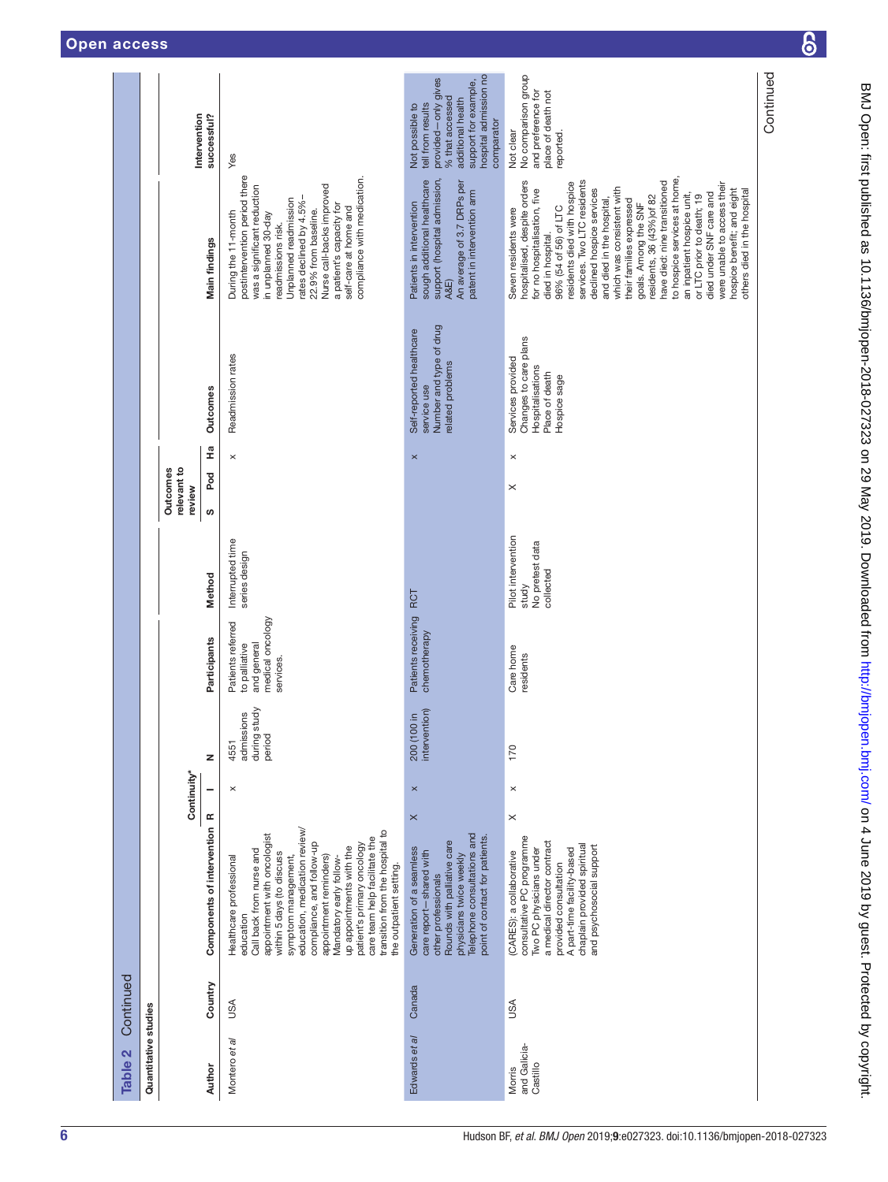|           |                      |                                   |                              |                                                                                                                                                                                                                                                                                                                                                                                                                                 |                                                                                                                                                                                                       |                                                                                                                                                                                                                                                                                                                                                                                                                                                                                                                                                                                                                           | Continued |
|-----------|----------------------|-----------------------------------|------------------------------|---------------------------------------------------------------------------------------------------------------------------------------------------------------------------------------------------------------------------------------------------------------------------------------------------------------------------------------------------------------------------------------------------------------------------------|-------------------------------------------------------------------------------------------------------------------------------------------------------------------------------------------------------|---------------------------------------------------------------------------------------------------------------------------------------------------------------------------------------------------------------------------------------------------------------------------------------------------------------------------------------------------------------------------------------------------------------------------------------------------------------------------------------------------------------------------------------------------------------------------------------------------------------------------|-----------|
|           |                      | Intervention                      | successful?                  | Yes                                                                                                                                                                                                                                                                                                                                                                                                                             | hospital admission no<br>provided-only gives<br>support for example,<br>% that accessed<br>additional health<br>tell from results<br>Not possible to<br>comparator                                    | No comparison group<br>and preference for<br>place of death not<br>Not clear<br>reported.                                                                                                                                                                                                                                                                                                                                                                                                                                                                                                                                 |           |
|           |                      |                                   | Main findings                | postintervention period there<br>compliance with medication.<br>was a significant reduction<br>Nurse call-backs improved<br>Unplanned readmission<br>rates declined by 4.5%-<br>a patient's capacity for<br>self-care at home and<br>22.9% from baseline.<br>During the 11-month<br>in unplanned 30-day<br>readmissions risk.                                                                                                   | support (hospital admission,<br>sough additional healthcare<br>An average of 3.7 DRPs per<br>patent in intervention arm<br>Patients in intervention<br>A&E)                                           | to hospice services at home,<br>hospitalised, despite orders<br>services. Two LTC residents<br>have died: nine transitioned<br>residents died with hospice<br>were unable to access their<br>which was consistent with<br>for no hospitalisation, five<br>hospice benefit; and eight<br>declined hospice services<br>others died in the hospital<br>an inpatient hospice unit,<br>died under SNF care and<br>or LTC prior to death; 19<br>residents, 36 (43%) of 82<br>their families expressed<br>and died in the hospital<br>goals. Among the SNF<br>96% (54 of 56) of LTC<br>Seven residents were<br>died in hospital. |           |
|           |                      |                                   | Outcomes                     | Readmission rates                                                                                                                                                                                                                                                                                                                                                                                                               | Number and type of drug<br>Self-reported healthcare<br>related problems<br>service use                                                                                                                | Changes to care plans<br>Services provided<br>Hospitalisations<br>Place of death<br>Hospice sage                                                                                                                                                                                                                                                                                                                                                                                                                                                                                                                          |           |
|           |                      |                                   | 운                            | $\times$                                                                                                                                                                                                                                                                                                                                                                                                                        | $\pmb{\times}$                                                                                                                                                                                        | $\boldsymbol{\times}$                                                                                                                                                                                                                                                                                                                                                                                                                                                                                                                                                                                                     |           |
|           |                      | relevant to<br>Outcomes<br>review | Pod                          |                                                                                                                                                                                                                                                                                                                                                                                                                                 |                                                                                                                                                                                                       | $\times$                                                                                                                                                                                                                                                                                                                                                                                                                                                                                                                                                                                                                  |           |
|           |                      |                                   | ဖ                            |                                                                                                                                                                                                                                                                                                                                                                                                                                 |                                                                                                                                                                                                       |                                                                                                                                                                                                                                                                                                                                                                                                                                                                                                                                                                                                                           |           |
|           |                      |                                   | Method                       | Interrupted time<br>series design                                                                                                                                                                                                                                                                                                                                                                                               | RCT                                                                                                                                                                                                   | Pilot intervention<br>No pretest data<br>collected<br>study                                                                                                                                                                                                                                                                                                                                                                                                                                                                                                                                                               |           |
|           |                      |                                   | Participants                 | medical oncology<br>Patients referred<br>and general<br>to palliative<br>services.                                                                                                                                                                                                                                                                                                                                              | Patients receiving<br>chemotherapy                                                                                                                                                                    | Care home<br>residents                                                                                                                                                                                                                                                                                                                                                                                                                                                                                                                                                                                                    |           |
|           |                      |                                   | z                            | study<br>admissions<br>during<br>period<br>4551                                                                                                                                                                                                                                                                                                                                                                                 | intervention)<br>200 (100 in                                                                                                                                                                          | 170                                                                                                                                                                                                                                                                                                                                                                                                                                                                                                                                                                                                                       |           |
|           |                      | Continuity <sup>®</sup>           | ۳                            | $\times$                                                                                                                                                                                                                                                                                                                                                                                                                        | $\pmb{\times}$                                                                                                                                                                                        | $\boldsymbol{\times}$                                                                                                                                                                                                                                                                                                                                                                                                                                                                                                                                                                                                     |           |
|           |                      |                                   |                              |                                                                                                                                                                                                                                                                                                                                                                                                                                 | $\times$                                                                                                                                                                                              | $\times$                                                                                                                                                                                                                                                                                                                                                                                                                                                                                                                                                                                                                  |           |
|           |                      |                                   | Components of intervention R | education, medication review/<br>transition from the hospital to<br>appointment with oncologist<br>care team help facilitate the<br>compliance, and follow-up<br>patient's primary oncology<br>up appointments with the<br>Call back from nurse and<br>within 5 days (to discuss<br>appointment reminders)<br>Mandatory early follow-<br>Healthcare professional<br>symptom management,<br>the outpatient setting.<br>education | Telephone consultations and<br>point of contact for patients.<br>Rounds with palliative care<br>Generation of a seamless<br>care report-shared with<br>physicians twice weekly<br>other professionals | consultative PC programme<br>a medical director contract<br>chaplain provided spiritual<br>and psychosocial support<br>A part-time facility-based<br>Two PC physicians under<br>(CARES): a collaborative<br>provided consultation                                                                                                                                                                                                                                                                                                                                                                                         |           |
| Continued |                      |                                   | Country                      | <b>ASU</b>                                                                                                                                                                                                                                                                                                                                                                                                                      | Canada                                                                                                                                                                                                | USA                                                                                                                                                                                                                                                                                                                                                                                                                                                                                                                                                                                                                       |           |
| Table 2   | Quantitative studies |                                   | Author                       | Montero et al                                                                                                                                                                                                                                                                                                                                                                                                                   | Edwards et al                                                                                                                                                                                         | and Galicia-<br>Castillo<br>Morris                                                                                                                                                                                                                                                                                                                                                                                                                                                                                                                                                                                        |           |

 $\overline{\mathbf{6}}$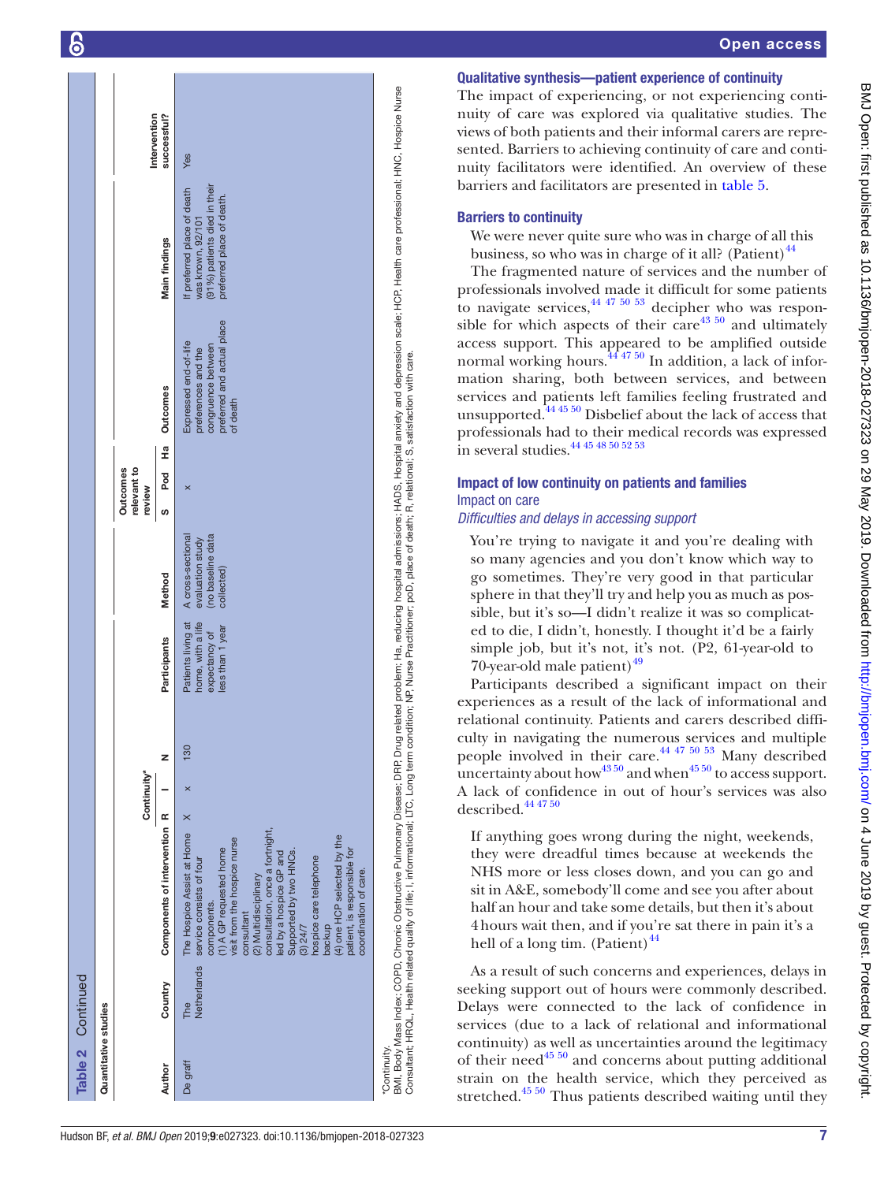| Table 2 Continued    |                    |                                                                                                                                                                                                                                                                                                                                                                                                                        |             |     |                                                                              |                                                                          |                                          |               |                                                                                                              |                                                                                                               |              |
|----------------------|--------------------|------------------------------------------------------------------------------------------------------------------------------------------------------------------------------------------------------------------------------------------------------------------------------------------------------------------------------------------------------------------------------------------------------------------------|-------------|-----|------------------------------------------------------------------------------|--------------------------------------------------------------------------|------------------------------------------|---------------|--------------------------------------------------------------------------------------------------------------|---------------------------------------------------------------------------------------------------------------|--------------|
| Quantitative studies |                    |                                                                                                                                                                                                                                                                                                                                                                                                                        |             |     |                                                                              |                                                                          |                                          |               |                                                                                                              |                                                                                                               |              |
|                      |                    |                                                                                                                                                                                                                                                                                                                                                                                                                        | Continuity* |     |                                                                              |                                                                          | relevant to<br><b>Outcomes</b><br>review |               |                                                                                                              |                                                                                                               | Intervention |
| Author               | Country            | Components of intervention R                                                                                                                                                                                                                                                                                                                                                                                           |             | z   | Participants                                                                 | Method                                                                   | ဖာ                                       | 윤<br>도<br>Pod | <b>Outcomes</b>                                                                                              | <b>Main findings</b>                                                                                          | successful?  |
| The<br>De graff      | <b>Netherlands</b> | $\times$<br>consultation, once a fortnight,<br>The Hospice Assist at Home<br>(4) one HCP selected by the<br>visit from the hospice nurse<br>1) A GP requested home<br>Supported by two HNCs.<br>patient, is responsible for<br>led by a hospice GP and<br>hospice care telephone<br>service consists of four<br>coordination of care.<br>(2) Multidisciplinary<br>components.<br>consultant<br>backup<br>(3) 24/7      | ×           | 130 | home, with a life<br>Patients living at<br>less than 1 year<br>expectancy of | Ino baseline data<br>A cross-sectional<br>evaluation study<br>collected) | $\times$                                 |               | preferred and actual place<br>Expressed end-of-life<br>congruence between<br>preferences and the<br>of death | (91%) patients died in their<br>If preferred place of death<br>preferred place of death.<br>was known, 92/101 | Yes          |
| *Continuity.         |                    | BMI, Body Mass Index; COPD, Chronic Obstructive Pulmonary Disease; DRP, Drug related problem; Ha, reducing hospital admissions; HADS, Hospital anxiety and depression scale; HCP, Health care professional; HNC, Hospice Nurse<br>Consultant; HRQL, Health related quality of life; I, informational; LTC, Long term condition; NP, Nurse Practitioner; poD, place of death; R, relational; S, satisfaction with care. |             |     |                                                                              |                                                                          |                                          |               |                                                                                                              |                                                                                                               |              |

## Qualitative synthesis—patient experience of continuity

The impact of experiencing, or not experiencing continuity of care was explored via qualitative studies. The views of both patients and their informal carers are repre sented. Barriers to achieving continuity of care and conti nuity facilitators were identified. An overview of these barriers and facilitators are presented in [table](#page-9-1) 5 .

## Barriers to continuity

We were never quite sure who was in charge of all this business, so who was in charge of it all? (Patient) $44$ 

The fragmented nature of services and the number of professionals involved made it difficult for some patients to navigate services,  $44\frac{47}{50\frac{53}{53}}$  decipher who was responsible for which aspects of their care $43\,50$  and ultimately access support. This appeared to be amplified outside normal working hours. $444750$  In addition, a lack of information sharing, both between services, and between services and patients left families feeling frustrated and unsupported. $444550$  Disbelief about the lack of access that professionals had to their medical records was expressed in several studies.[44 45 48 50 52 53](#page-13-20)

## Impact of low continuity on patients and families Impact on care

*Difficulties and delays in accessing support*

You're trying to navigate it and you're dealing with so many agencies and you don't know which way to go sometimes. They're very good in that particular sphere in that they'll try and help you as much as pos sible, but it's so—I didn't realize it was so complicated to die, I didn't, honestly. I thought it'd be a fairly simple job, but it's not, it's not. (P2, 61-year-old to 70-year-old male patient) $49$ 

Participants described a significant impact on their experiences as a result of the lack of informational and relational continuity. Patients and carers described diffi culty in navigating the numerous services and multiple people involved in their care. $44475053$  Many described uncertainty about how  $43\frac{50}{1}$  and when  $45\frac{50}{1}$  to access support. A lack of confidence in out of hour's services was also described.<sup>[44 47 50](#page-13-20)</sup>

If anything goes wrong during the night, weekends, they were dreadful times because at weekends the NHS more or less closes down, and you can go and sit in A&E, somebody'll come and see you after about half an hour and take some details, but then it's about 4hours wait then, and if you're sat there in pain it's a hell of a long tim. (Patient) $44$ 

As a result of such concerns and experiences, delays in seeking support out of hours were commonly described. Delays were connected to the lack of confidence in services (due to a lack of relational and informational continuity) as well as uncertainties around the legitimacy of their need<sup>45 50</sup> and concerns about putting additional strain on the health service, which they perceived as stretched.<sup>45 50</sup> Thus patients described waiting until they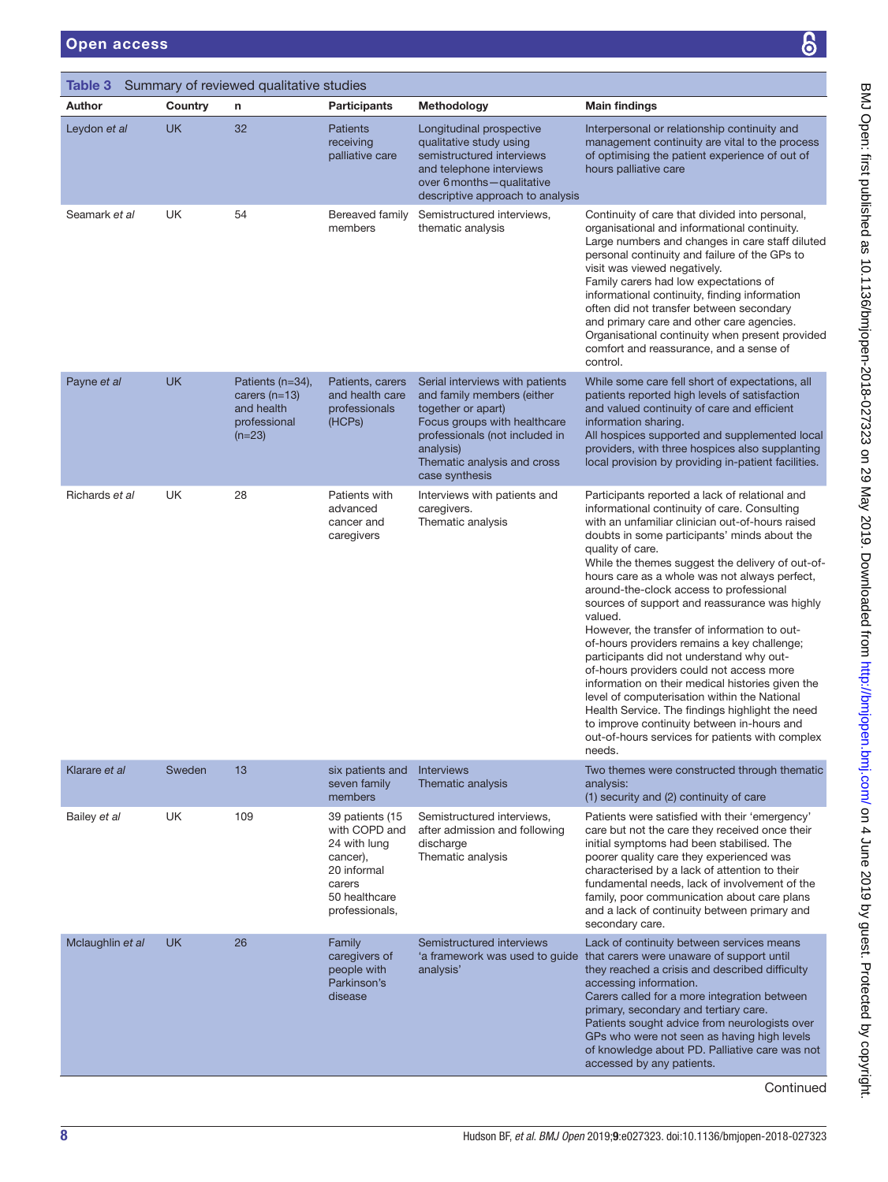| Summary of reviewed qualitative studies<br>Table 3                                                                                                    |                                                                                                        |                                                                                               |                                                                                                                                                                                                                                                                                                                                                                                                               |                                                                                                                                                                                                                     |                                                                                                                                                                                                                                                                                                                                                                                                                                                                                                                                                                                                                                                                                                                                                                                                                                                                                             |
|-------------------------------------------------------------------------------------------------------------------------------------------------------|--------------------------------------------------------------------------------------------------------|-----------------------------------------------------------------------------------------------|---------------------------------------------------------------------------------------------------------------------------------------------------------------------------------------------------------------------------------------------------------------------------------------------------------------------------------------------------------------------------------------------------------------|---------------------------------------------------------------------------------------------------------------------------------------------------------------------------------------------------------------------|---------------------------------------------------------------------------------------------------------------------------------------------------------------------------------------------------------------------------------------------------------------------------------------------------------------------------------------------------------------------------------------------------------------------------------------------------------------------------------------------------------------------------------------------------------------------------------------------------------------------------------------------------------------------------------------------------------------------------------------------------------------------------------------------------------------------------------------------------------------------------------------------|
| <b>Author</b>                                                                                                                                         | Country                                                                                                | n                                                                                             | <b>Participants</b>                                                                                                                                                                                                                                                                                                                                                                                           | Methodology                                                                                                                                                                                                         | <b>Main findings</b>                                                                                                                                                                                                                                                                                                                                                                                                                                                                                                                                                                                                                                                                                                                                                                                                                                                                        |
| Leydon et al                                                                                                                                          | UK.<br>32<br><b>Patients</b><br>receiving<br>palliative care<br>UK<br>54<br>Bereaved family<br>members |                                                                                               | Longitudinal prospective<br>qualitative study using<br>semistructured interviews<br>and telephone interviews<br>over 6 months - qualitative<br>descriptive approach to analysis                                                                                                                                                                                                                               | Interpersonal or relationship continuity and<br>management continuity are vital to the process<br>of optimising the patient experience of out of<br>hours palliative care                                           |                                                                                                                                                                                                                                                                                                                                                                                                                                                                                                                                                                                                                                                                                                                                                                                                                                                                                             |
| Seamark et al                                                                                                                                         |                                                                                                        |                                                                                               |                                                                                                                                                                                                                                                                                                                                                                                                               | Semistructured interviews,<br>thematic analysis                                                                                                                                                                     | Continuity of care that divided into personal,<br>organisational and informational continuity.<br>Large numbers and changes in care staff diluted<br>personal continuity and failure of the GPs to<br>visit was viewed negatively.<br>Family carers had low expectations of<br>informational continuity, finding information<br>often did not transfer between secondary<br>and primary care and other care agencies.<br>Organisational continuity when present provided<br>comfort and reassurance, and a sense of<br>control.                                                                                                                                                                                                                                                                                                                                                             |
| Payne et al                                                                                                                                           | <b>UK</b>                                                                                              | Patients (n=34),<br>carers $(n=13)$<br>and health<br>professional<br>$(n=23)$                 | Patients, carers<br>and health care<br>professionals<br>(HCPs)                                                                                                                                                                                                                                                                                                                                                | Serial interviews with patients<br>and family members (either<br>together or apart)<br>Focus groups with healthcare<br>professionals (not included in<br>analysis)<br>Thematic analysis and cross<br>case synthesis | While some care fell short of expectations, all<br>patients reported high levels of satisfaction<br>and valued continuity of care and efficient<br>information sharing.<br>All hospices supported and supplemented local<br>providers, with three hospices also supplanting<br>local provision by providing in-patient facilities.                                                                                                                                                                                                                                                                                                                                                                                                                                                                                                                                                          |
| Richards et al                                                                                                                                        | UK                                                                                                     | 28                                                                                            | Patients with<br>advanced<br>cancer and<br>caregivers                                                                                                                                                                                                                                                                                                                                                         | Interviews with patients and<br>caregivers.<br>Thematic analysis                                                                                                                                                    | Participants reported a lack of relational and<br>informational continuity of care. Consulting<br>with an unfamiliar clinician out-of-hours raised<br>doubts in some participants' minds about the<br>quality of care.<br>While the themes suggest the delivery of out-of-<br>hours care as a whole was not always perfect,<br>around-the-clock access to professional<br>sources of support and reassurance was highly<br>valued.<br>However, the transfer of information to out-<br>of-hours providers remains a key challenge;<br>participants did not understand why out-<br>of-hours providers could not access more<br>information on their medical histories given the<br>level of computerisation within the National<br>Health Service. The findings highlight the need<br>to improve continuity between in-hours and<br>out-of-hours services for patients with complex<br>needs. |
| Klarare et al                                                                                                                                         | Sweden                                                                                                 | 13                                                                                            | six patients and<br>seven family<br>members                                                                                                                                                                                                                                                                                                                                                                   | <b>Interviews</b><br>Thematic analysis                                                                                                                                                                              | Two themes were constructed through thematic<br>analysis:<br>(1) security and (2) continuity of care                                                                                                                                                                                                                                                                                                                                                                                                                                                                                                                                                                                                                                                                                                                                                                                        |
| UK<br>109<br>Bailey et al<br>39 patients (15<br>with COPD and<br>24 with lung<br>cancer),<br>20 informal<br>carers<br>50 healthcare<br>professionals, |                                                                                                        | Semistructured interviews,<br>after admission and following<br>discharge<br>Thematic analysis | Patients were satisfied with their 'emergency'<br>care but not the care they received once their<br>initial symptoms had been stabilised. The<br>poorer quality care they experienced was<br>characterised by a lack of attention to their<br>fundamental needs, lack of involvement of the<br>family, poor communication about care plans<br>and a lack of continuity between primary and<br>secondary care. |                                                                                                                                                                                                                     |                                                                                                                                                                                                                                                                                                                                                                                                                                                                                                                                                                                                                                                                                                                                                                                                                                                                                             |
| Mclaughlin et al                                                                                                                                      | UK                                                                                                     | 26                                                                                            | Family<br>caregivers of<br>people with<br>Parkinson's<br>disease                                                                                                                                                                                                                                                                                                                                              | Semistructured interviews<br>analysis'                                                                                                                                                                              | Lack of continuity between services means<br>'a framework was used to guide that carers were unaware of support until<br>they reached a crisis and described difficulty<br>accessing information.<br>Carers called for a more integration between<br>primary, secondary and tertiary care.<br>Patients sought advice from neurologists over<br>GPs who were not seen as having high levels<br>of knowledge about PD. Palliative care was not<br>accessed by any patients.                                                                                                                                                                                                                                                                                                                                                                                                                   |

Continued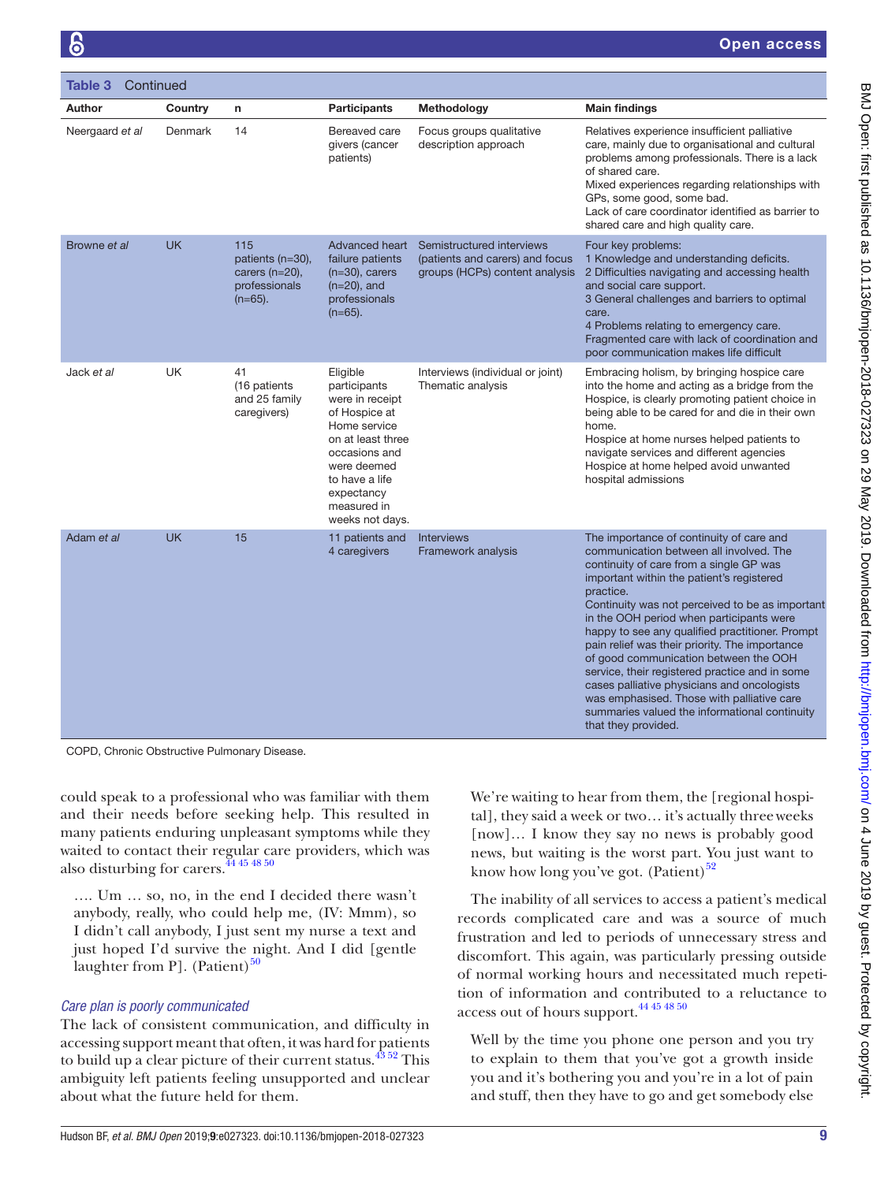| Continued<br>Table 3 |           |                                                                             |                                                                                                                                                                                                     |                                                                                                |                                                                                                                                                                                                                                                                                                                                                                                                                                                                                                                                                                                                                                                              |
|----------------------|-----------|-----------------------------------------------------------------------------|-----------------------------------------------------------------------------------------------------------------------------------------------------------------------------------------------------|------------------------------------------------------------------------------------------------|--------------------------------------------------------------------------------------------------------------------------------------------------------------------------------------------------------------------------------------------------------------------------------------------------------------------------------------------------------------------------------------------------------------------------------------------------------------------------------------------------------------------------------------------------------------------------------------------------------------------------------------------------------------|
| <b>Author</b>        | Country   | $\mathsf{n}$                                                                | <b>Participants</b>                                                                                                                                                                                 | Methodology                                                                                    | <b>Main findings</b>                                                                                                                                                                                                                                                                                                                                                                                                                                                                                                                                                                                                                                         |
| Neergaard et al      | Denmark   | 14                                                                          | Bereaved care<br>givers (cancer<br>patients)                                                                                                                                                        | Focus groups qualitative<br>description approach                                               | Relatives experience insufficient palliative<br>care, mainly due to organisational and cultural<br>problems among professionals. There is a lack<br>of shared care.<br>Mixed experiences regarding relationships with<br>GPs, some good, some bad.<br>Lack of care coordinator identified as barrier to<br>shared care and high quality care.                                                                                                                                                                                                                                                                                                                |
| Browne et al         | <b>UK</b> | 115<br>patients (n=30),<br>carers $(n=20)$ ,<br>professionals<br>$(n=65)$ . | Advanced heart<br>failure patients<br>$(n=30)$ , carers<br>$(n=20)$ , and<br>professionals<br>$(n=65)$ .                                                                                            | Semistructured interviews<br>(patients and carers) and focus<br>groups (HCPs) content analysis | Four key problems:<br>1 Knowledge and understanding deficits.<br>2 Difficulties navigating and accessing health<br>and social care support.<br>3 General challenges and barriers to optimal<br>care.<br>4 Problems relating to emergency care.<br>Fragmented care with lack of coordination and<br>poor communication makes life difficult                                                                                                                                                                                                                                                                                                                   |
| Jack et al           | UK        | 41<br>(16 patients<br>and 25 family<br>caregivers)                          | Eligible<br>participants<br>were in receipt<br>of Hospice at<br>Home service<br>on at least three<br>occasions and<br>were deemed<br>to have a life<br>expectancy<br>measured in<br>weeks not days. | Interviews (individual or joint)<br>Thematic analysis                                          | Embracing holism, by bringing hospice care<br>into the home and acting as a bridge from the<br>Hospice, is clearly promoting patient choice in<br>being able to be cared for and die in their own<br>home.<br>Hospice at home nurses helped patients to<br>navigate services and different agencies<br>Hospice at home helped avoid unwanted<br>hospital admissions                                                                                                                                                                                                                                                                                          |
| Adam et al           | <b>UK</b> | 15                                                                          | 11 patients and<br>4 caregivers                                                                                                                                                                     | Interviews<br>Framework analysis                                                               | The importance of continuity of care and<br>communication between all involved. The<br>continuity of care from a single GP was<br>important within the patient's registered<br>practice.<br>Continuity was not perceived to be as important<br>in the OOH period when participants were<br>happy to see any qualified practitioner. Prompt<br>pain relief was their priority. The importance<br>of good communication between the OOH<br>service, their registered practice and in some<br>cases palliative physicians and oncologists<br>was emphasised. Those with palliative care<br>summaries valued the informational continuity<br>that they provided. |

COPD, Chronic Obstructive Pulmonary Disease.

could speak to a professional who was familiar with them and their needs before seeking help. This resulted in many patients enduring unpleasant symptoms while they waited to contact their regular care providers, which was also disturbing for carers. $44\frac{45\frac{48}{50}}{60}$ 

…. Um … so, no, in the end I decided there wasn't anybody, really, who could help me, (IV: Mmm), so I didn't call anybody, I just sent my nurse a text and just hoped I'd survive the night. And I did [gentle laughter from P. (Patient) $50$ 

## *Care plan is poorly communicated*

The lack of consistent communication, and difficulty in accessing support meant that often, it was hard for patients to build up a clear picture of their current status. $43\frac{43\,52}{10\,}$  This ambiguity left patients feeling unsupported and unclear about what the future held for them.

We're waiting to hear from them, the [regional hospital], they said a week or two… it's actually threeweeks [now]… I know they say no news is probably good news, but waiting is the worst part. You just want to know how long you've got.  $(Patient)^{52}$  $(Patient)^{52}$  $(Patient)^{52}$ 

The inability of all services to access a patient's medical records complicated care and was a source of much frustration and led to periods of unnecessary stress and discomfort. This again, was particularly pressing outside of normal working hours and necessitated much repetition of information and contributed to a reluctance to access out of hours support.<sup>44 45 48 50</sup>

Well by the time you phone one person and you try to explain to them that you've got a growth inside you and it's bothering you and you're in a lot of pain and stuff, then they have to go and get somebody else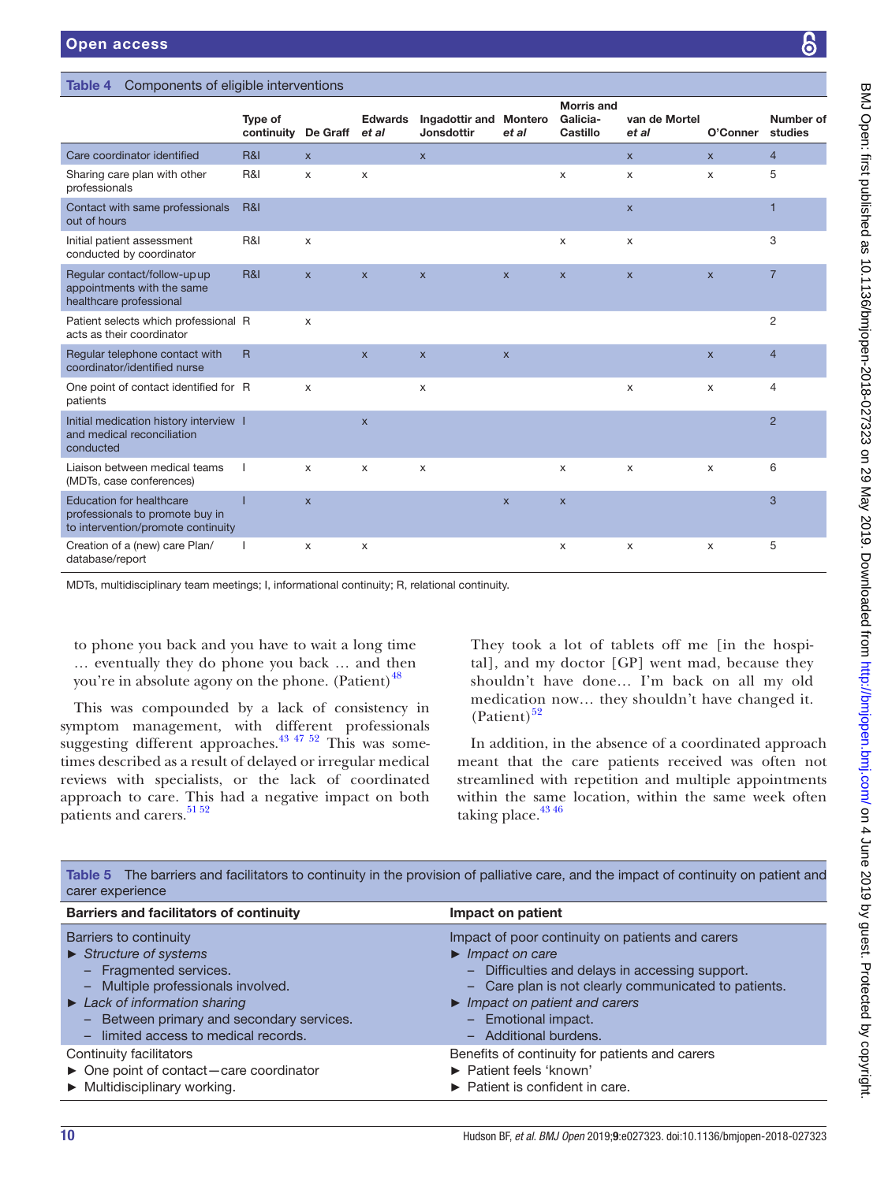<span id="page-9-0"></span>Table 4 Components of eligible interventions

|                                                                                                          | Type of<br>continuity De Graff et al |                | <b>Edwards</b> | Ingadottir and Montero<br><b>Jonsdottir</b> | et al        | Galicia-<br>Castillo      | van de Mortel<br>et al | O'Conner       | <b>Number of</b><br>studies |
|----------------------------------------------------------------------------------------------------------|--------------------------------------|----------------|----------------|---------------------------------------------|--------------|---------------------------|------------------------|----------------|-----------------------------|
| Care coordinator identified                                                                              | <b>R&amp;I</b>                       | $\mathsf{x}$   |                | $\mathsf{x}$                                |              |                           | $\mathsf{x}$           | $\mathsf{x}$   | $\overline{4}$              |
| Sharing care plan with other<br>professionals                                                            | R&I                                  | $\mathsf{x}$   | X              |                                             |              | X                         | X                      | $\times$       | 5                           |
| Contact with same professionals<br>out of hours                                                          | R&I                                  |                |                |                                             |              |                           | $\pmb{\times}$         |                | F                           |
| Initial patient assessment<br>conducted by coordinator                                                   | R&I                                  | X              |                |                                             |              | X                         | X                      |                | 3                           |
| Regular contact/follow-up up<br>appointments with the same<br>healthcare professional                    | R&I                                  | $\mathsf{x}$   | $\mathsf{x}$   | $\mathsf X$                                 | $\mathsf{x}$ | $\mathsf{X}$              | $\pmb{\times}$         | $\mathsf{x}$   | $\overline{7}$              |
| Patient selects which professional R<br>acts as their coordinator                                        |                                      | X              |                |                                             |              |                           |                        |                | 2                           |
| Regular telephone contact with<br>coordinator/identified nurse                                           | $\mathsf{R}$                         |                | $\mathsf{x}$   | $\pmb{\times}$                              | $\mathsf X$  |                           |                        | $\pmb{\times}$ | $\overline{4}$              |
| One point of contact identified for R<br>patients                                                        |                                      | X              |                | $\times$                                    |              |                           | X                      | X              | 4                           |
| Initial medication history interview I<br>and medical reconciliation<br>conducted                        |                                      |                | $\mathsf X$    |                                             |              |                           |                        |                | $\overline{2}$              |
| Liaison between medical teams<br>(MDTs, case conferences)                                                |                                      | X              | X              | X                                           |              | X                         | X                      | X              | 6                           |
| <b>Education for healthcare</b><br>professionals to promote buy in<br>to intervention/promote continuity |                                      | $\pmb{\times}$ |                |                                             | $\mathsf{x}$ | $\boldsymbol{\mathsf{X}}$ |                        |                | 3                           |
| Creation of a (new) care Plan/<br>database/report                                                        |                                      | $\times$       | X              |                                             |              | X                         | X                      | X              | 5                           |

MDTs, multidisciplinary team meetings; I, informational continuity; R, relational continuity.

to phone you back and you have to wait a long time … eventually they do phone you back … and then you're in absolute agony on the phone. (Patient) $^{48}$  $^{48}$  $^{48}$ 

This was compounded by a lack of consistency in symptom management, with different professionals suggesting different approaches.<sup>[43 47 52](#page-13-17)</sup> This was sometimes described as a result of delayed or irregular medical reviews with specialists, or the lack of coordinated approach to care. This had a negative impact on both patients and carers.<sup>[51 52](#page-13-30)</sup>

They took a lot of tablets off me [in the hospital], and my doctor [GP] went mad, because they shouldn't have done… I'm back on all my old medication now… they shouldn't have changed it.  $(Patient)<sup>52</sup>$  $(Patient)<sup>52</sup>$  $(Patient)<sup>52</sup>$ 

Morris and Galicia-

In addition, in the absence of a coordinated approach meant that the care patients received was often not streamlined with repetition and multiple appointments within the same location, within the same week often taking place. $43\frac{46}{10}$ 

| carer experience                                                                                                                                                                                                                                                                              |                                                                                                                                                                                                                                                                                                           |
|-----------------------------------------------------------------------------------------------------------------------------------------------------------------------------------------------------------------------------------------------------------------------------------------------|-----------------------------------------------------------------------------------------------------------------------------------------------------------------------------------------------------------------------------------------------------------------------------------------------------------|
| <b>Barriers and facilitators of continuity</b>                                                                                                                                                                                                                                                | Impact on patient                                                                                                                                                                                                                                                                                         |
| Barriers to continuity<br>$\triangleright$ Structure of systems<br>- Fragmented services.<br>Multiple professionals involved.<br>$\qquad \qquad -$<br>$\blacktriangleright$ Lack of information sharing<br>Between primary and secondary services.<br>-<br>limited access to medical records. | Impact of poor continuity on patients and carers<br>$\blacktriangleright$ Impact on care<br>- Difficulties and delays in accessing support.<br>- Care plan is not clearly communicated to patients.<br>$\blacktriangleright$ Impact on patient and carers<br>- Emotional impact.<br>- Additional burdens. |
| Continuity facilitators<br>$\triangleright$ One point of contact-care coordinator<br>$\blacktriangleright$ Multidisciplinary working.                                                                                                                                                         | Benefits of continuity for patients and carers<br>▶ Patient feels 'known'<br>$\blacktriangleright$ Patient is confident in care.                                                                                                                                                                          |

<span id="page-9-1"></span>Table 5 The barriers and facilitators to continuity in the provision of palliative care, and the impact of continuity on patient and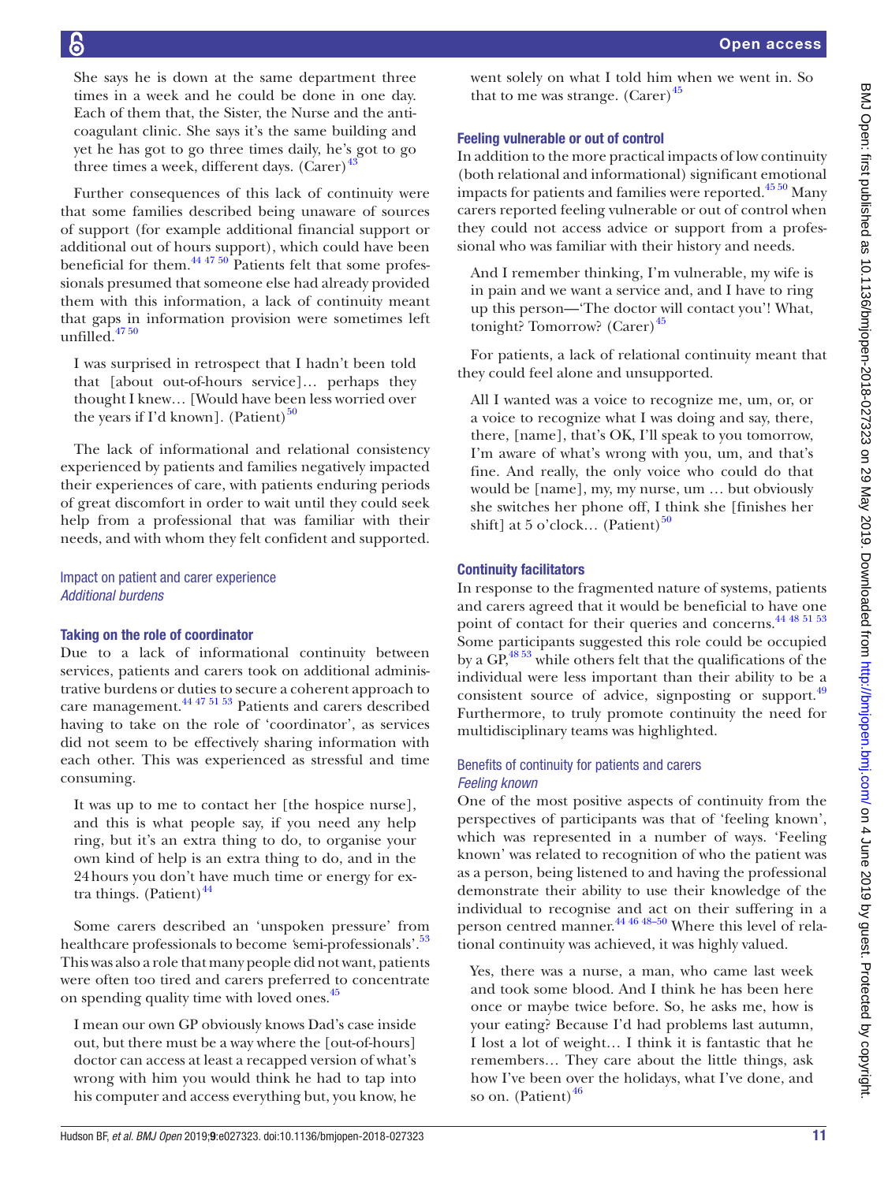She says he is down at the same department three times in a week and he could be done in one day. Each of them that, the Sister, the Nurse and the anticoagulant clinic. She says it's the same building and yet he has got to go three times daily, he's got to go three times a week, different days. (Carer) $43$ 

Further consequences of this lack of continuity were that some families described being unaware of sources of support (for example additional financial support or additional out of hours support), which could have been beneficial for them. $^{44}$   $^{47}$   $^{50}$  Patients felt that some professionals presumed that someone else had already provided them with this information, a lack of continuity meant that gaps in information provision were sometimes left unfilled. $47\frac{50}{1}$ 

I was surprised in retrospect that I hadn't been told that [about out-of-hours service]… perhaps they thought I knew… [Would have been less worried over the years if I'd known]. (Patient) $^{50}$ 

The lack of informational and relational consistency experienced by patients and families negatively impacted their experiences of care, with patients enduring periods of great discomfort in order to wait until they could seek help from a professional that was familiar with their needs, and with whom they felt confident and supported.

## Impact on patient and carer experience *Additional burdens*

## Taking on the role of coordinator

Due to a lack of informational continuity between services, patients and carers took on additional administrative burdens or duties to secure a coherent approach to care management.[44 47 51 53](#page-13-20) Patients and carers described having to take on the role of 'coordinator', as services did not seem to be effectively sharing information with each other. This was experienced as stressful and time consuming.

It was up to me to contact her [the hospice nurse], and this is what people say, if you need any help ring, but it's an extra thing to do, to organise your own kind of help is an extra thing to do, and in the 24hours you don't have much time or energy for extra things. (Patient) $44$ 

Some carers described an 'unspoken pressure' from healthcare professionals to become *'semi-professionals'*.<sup>53</sup> This was also a role that many people did not want, patients were often too tired and carers preferred to concentrate on spending quality time with loved ones.<sup>45</sup>

I mean our own GP obviously knows Dad's case inside out, but there must be a way where the [out-of-hours] doctor can access at least a recapped version of what's wrong with him you would think he had to tap into his computer and access everything but, you know, he went solely on what I told him when we went in. So that to me was strange.  $(Carer)^{45}$ 

## Feeling vulnerable or out of control

In addition to the more practical impacts of low continuity (both relational and informational) significant emotional impacts for patients and families were reported.<sup>45 50</sup> Many carers reported feeling vulnerable or out of control when they could not access advice or support from a professional who was familiar with their history and needs.

And I remember thinking, I'm vulnerable, my wife is in pain and we want a service and, and I have to ring up this person—'The doctor will contact you'! What, tonight? Tomorrow? (Carer) $45$ 

For patients, a lack of relational continuity meant that they could feel alone and unsupported.

All I wanted was a voice to recognize me, um, or, or a voice to recognize what I was doing and say, there, there, [name], that's OK, I'll speak to you tomorrow, I'm aware of what's wrong with you, um, and that's fine. And really, the only voice who could do that would be [name], my, my nurse, um … but obviously she switches her phone off, I think she [finishes her shift] at 5 o'clock... (Patient) $^{50}$  $^{50}$  $^{50}$ 

## Continuity facilitators

In response to the fragmented nature of systems, patients and carers agreed that it would be beneficial to have one point of contact for their queries and concerns.<sup>44 48 51 53</sup> Some participants suggested this role could be occupied by a  $GP<sup>48.53</sup>$  while others felt that the qualifications of the individual were less important than their ability to be a consistent source of advice, signposting or support.<sup>[49](#page-13-26)</sup> Furthermore, to truly promote continuity the need for multidisciplinary teams was highlighted.

## Benefits of continuity for patients and carers *Feeling known*

One of the most positive aspects of continuity from the perspectives of participants was that of 'feeling known', which was represented in a number of ways. 'Feeling known' was related to recognition of who the patient was as a person, being listened to and having the professional demonstrate their ability to use their knowledge of the individual to recognise and act on their suffering in a person centred manner.<sup>44 46 48–50</sup> Where this level of relational continuity was achieved, it was highly valued.

Yes, there was a nurse, a man, who came last week and took some blood. And I think he has been here once or maybe twice before. So, he asks me, how is your eating? Because I'd had problems last autumn, I lost a lot of weight… I think it is fantastic that he remembers… They care about the little things, ask how I've been over the holidays, what I've done, and so on. (Patient) $46$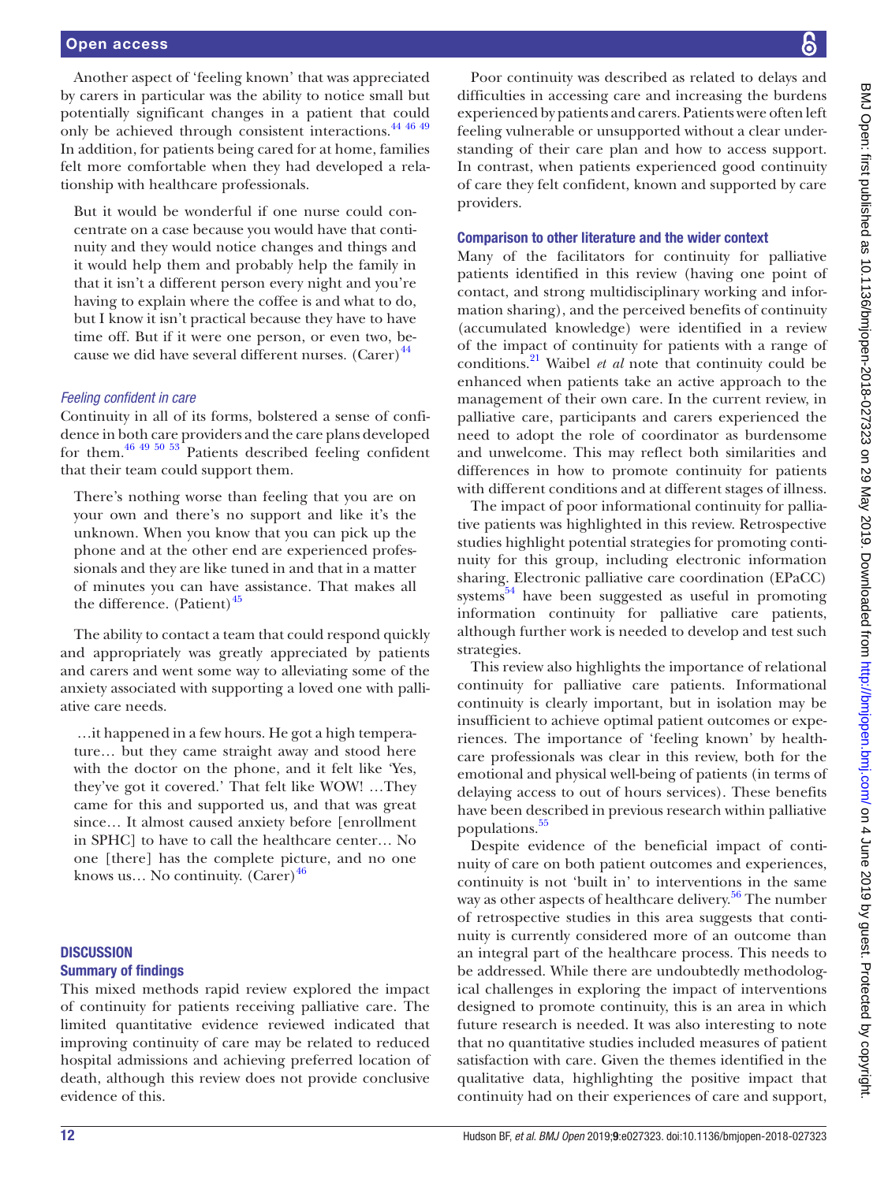#### Open access

Another aspect of 'feeling known' that was appreciated by carers in particular was the ability to notice small but potentially significant changes in a patient that could only be achieved through consistent interactions.[44 46 49](#page-13-20) In addition, for patients being cared for at home, families felt more comfortable when they had developed a relationship with healthcare professionals.

But it would be wonderful if one nurse could concentrate on a case because you would have that continuity and they would notice changes and things and it would help them and probably help the family in that it isn't a different person every night and you're having to explain where the coffee is and what to do, but I know it isn't practical because they have to have time off. But if it were one person, or even two, because we did have several different nurses.  $(Carer)^{44}$  $(Carer)^{44}$  $(Carer)^{44}$ 

#### *Feeling confident in care*

Continuity in all of its forms, bolstered a sense of confidence in both care providers and the care plans developed for them[.46 49 50 53](#page-13-31) Patients described feeling confident that their team could support them.

There's nothing worse than feeling that you are on your own and there's no support and like it's the unknown. When you know that you can pick up the phone and at the other end are experienced professionals and they are like tuned in and that in a matter of minutes you can have assistance. That makes all the difference. (Patient) $45$ 

The ability to contact a team that could respond quickly and appropriately was greatly appreciated by patients and carers and went some way to alleviating some of the anxiety associated with supporting a loved one with palliative care needs.

 …it happened in a few hours. He got a high temperature… but they came straight away and stood here with the doctor on the phone, and it felt like 'Yes, they've got it covered.' That felt like WOW! …They came for this and supported us, and that was great since… It almost caused anxiety before [enrollment in SPHC] to have to call the healthcare center… No one [there] has the complete picture, and no one knows us... No continuity.  $(Carer)^{46}$  $(Carer)^{46}$  $(Carer)^{46}$ 

## **DISCUSSION** Summary of findings

This mixed methods rapid review explored the impact of continuity for patients receiving palliative care. The limited quantitative evidence reviewed indicated that improving continuity of care may be related to reduced hospital admissions and achieving preferred location of death, although this review does not provide conclusive evidence of this.

Poor continuity was described as related to delays and difficulties in accessing care and increasing the burdens experienced by patients and carers. Patients were often left feeling vulnerable or unsupported without a clear understanding of their care plan and how to access support. In contrast, when patients experienced good continuity of care they felt confident, known and supported by care providers.

#### Comparison to other literature and the wider context

Many of the facilitators for continuity for palliative patients identified in this review (having one point of contact, and strong multidisciplinary working and information sharing), and the perceived benefits of continuity (accumulated knowledge) were identified in a review of the impact of continuity for patients with a range of conditions[.21](#page-13-32) Waibel *et al* note that continuity could be enhanced when patients take an active approach to the management of their own care. In the current review, in palliative care, participants and carers experienced the need to adopt the role of coordinator as burdensome and unwelcome. This may reflect both similarities and differences in how to promote continuity for patients with different conditions and at different stages of illness.

The impact of poor informational continuity for palliative patients was highlighted in this review. Retrospective studies highlight potential strategies for promoting continuity for this group, including electronic information sharing. Electronic palliative care coordination (EPaCC) systems $^{54}$  have been suggested as useful in promoting information continuity for palliative care patients, although further work is needed to develop and test such strategies.

This review also highlights the importance of relational continuity for palliative care patients. Informational continuity is clearly important, but in isolation may be insufficient to achieve optimal patient outcomes or experiences. The importance of 'feeling known' by healthcare professionals was clear in this review, both for the emotional and physical well-being of patients (in terms of delaying access to out of hours services). These benefits have been described in previous research within palliative populations.<sup>55</sup>

Despite evidence of the beneficial impact of continuity of care on both patient outcomes and experiences, continuity is not 'built in' to interventions in the same way as other aspects of healthcare delivery.<sup>[56](#page-13-35)</sup> The number of retrospective studies in this area suggests that continuity is currently considered more of an outcome than an integral part of the healthcare process. This needs to be addressed. While there are undoubtedly methodological challenges in exploring the impact of interventions designed to promote continuity, this is an area in which future research is needed. It was also interesting to note that no quantitative studies included measures of patient satisfaction with care. Given the themes identified in the qualitative data, highlighting the positive impact that continuity had on their experiences of care and support,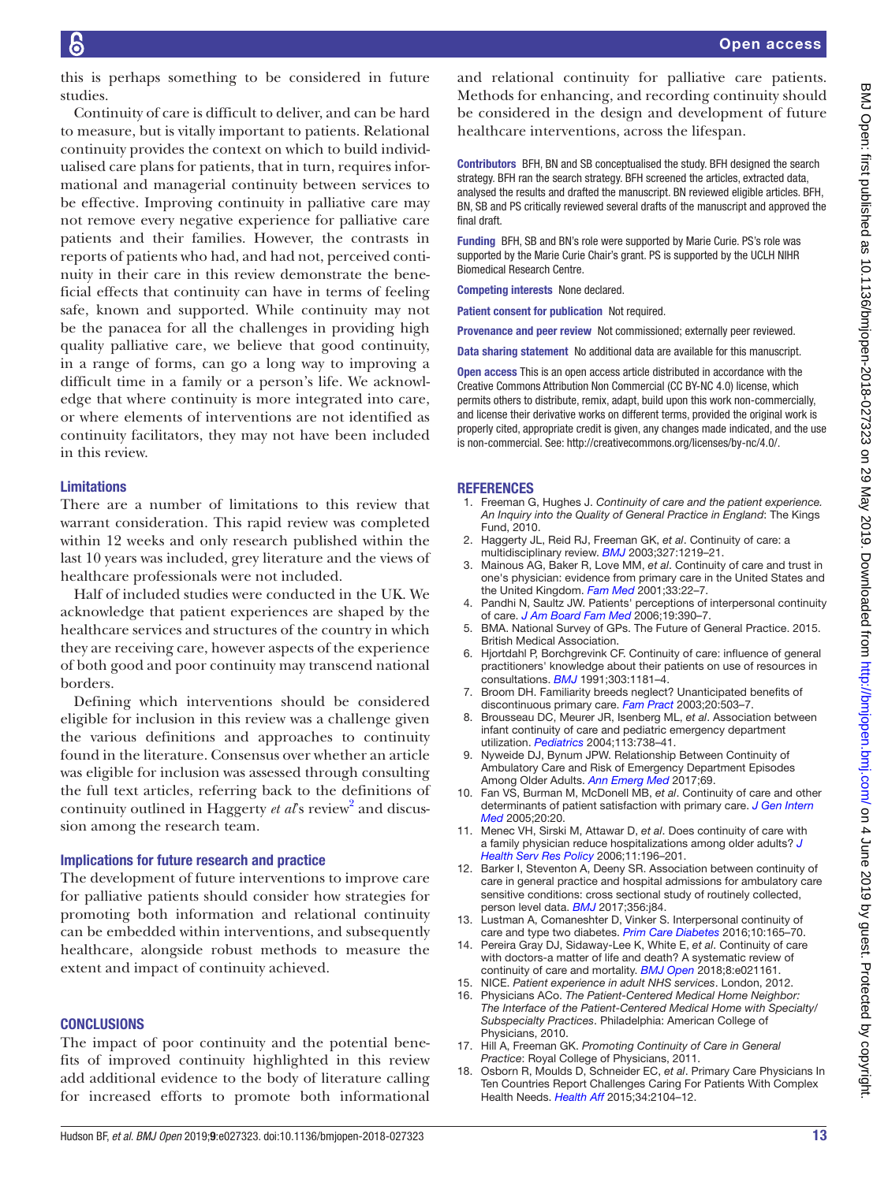this is perhaps something to be considered in future studies.

Continuity of care is difficult to deliver, and can be hard to measure, but is vitally important to patients. Relational continuity provides the context on which to build individualised care plans for patients, that in turn, requires informational and managerial continuity between services to be effective. Improving continuity in palliative care may not remove every negative experience for palliative care patients and their families. However, the contrasts in reports of patients who had, and had not, perceived continuity in their care in this review demonstrate the beneficial effects that continuity can have in terms of feeling safe, known and supported. While continuity may not be the panacea for all the challenges in providing high quality palliative care, we believe that good continuity, in a range of forms, can go a long way to improving a difficult time in a family or a person's life. We acknowledge that where continuity is more integrated into care, or where elements of interventions are not identified as continuity facilitators, they may not have been included in this review.

## Limitations

There are a number of limitations to this review that warrant consideration. This rapid review was completed within 12 weeks and only research published within the last 10 years was included, grey literature and the views of healthcare professionals were not included.

Half of included studies were conducted in the UK. We acknowledge that patient experiences are shaped by the healthcare services and structures of the country in which they are receiving care, however aspects of the experience of both good and poor continuity may transcend national borders.

Defining which interventions should be considered eligible for inclusion in this review was a challenge given the various definitions and approaches to continuity found in the literature. Consensus over whether an article was eligible for inclusion was assessed through consulting the full text articles, referring back to the definitions of continuity outlined in Haggerty et al's review<sup>2</sup> and discussion among the research team.

#### Implications for future research and practice

The development of future interventions to improve care for palliative patients should consider how strategies for promoting both information and relational continuity can be embedded within interventions, and subsequently healthcare, alongside robust methods to measure the extent and impact of continuity achieved.

## **CONCLUSIONS**

The impact of poor continuity and the potential benefits of improved continuity highlighted in this review add additional evidence to the body of literature calling for increased efforts to promote both informational

and relational continuity for palliative care patients. Methods for enhancing, and recording continuity should be considered in the design and development of future healthcare interventions, across the lifespan.

Contributors BFH, BN and SB conceptualised the study. BFH designed the search strategy. BFH ran the search strategy. BFH screened the articles, extracted data, analysed the results and drafted the manuscript. BN reviewed eligible articles. BFH, BN, SB and PS critically reviewed several drafts of the manuscript and approved the final draft.

Funding BFH, SB and BN's role were supported by Marie Curie. PS's role was supported by the Marie Curie Chair's grant. PS is supported by the UCLH NIHR Biomedical Research Centre.

Competing interests None declared.

Patient consent for publication Not required.

Provenance and peer review Not commissioned; externally peer reviewed.

Data sharing statement No additional data are available for this manuscript.

Open access This is an open access article distributed in accordance with the Creative Commons Attribution Non Commercial (CC BY-NC 4.0) license, which permits others to distribute, remix, adapt, build upon this work non-commercially, and license their derivative works on different terms, provided the original work is properly cited, appropriate credit is given, any changes made indicated, and the use is non-commercial. See: [http://creativecommons.org/licenses/by-nc/4.0/.](http://creativecommons.org/licenses/by-nc/4.0/)

#### **REFERENCES**

- <span id="page-12-0"></span>1. Freeman G, Hughes J. *Continuity of care and the patient experience. An Inquiry into the Quality of General Practice in England*: The Kings Fund, 2010.
- <span id="page-12-1"></span>2. Haggerty JL, Reid RJ, Freeman GK, *et al*. Continuity of care: a multidisciplinary review. *[BMJ](http://dx.doi.org/10.1136/bmj.327.7425.1219)* 2003;327:1219–21.
- <span id="page-12-2"></span>3. Mainous AG, Baker R, Love MM, *et al*. Continuity of care and trust in one's physician: evidence from primary care in the United States and the United Kingdom. *[Fam Med](http://www.ncbi.nlm.nih.gov/pubmed/11199905)* 2001;33:22–7.
- <span id="page-12-3"></span>4. Pandhi N, Saultz JW. Patients' perceptions of interpersonal continuity of care. *[J Am Board Fam Med](http://www.ncbi.nlm.nih.gov/pubmed/16809654)* 2006;19:390–7.
- <span id="page-12-4"></span>5. BMA. National Survey of GPs. The Future of General Practice. 2015. British Medical Association.
- <span id="page-12-5"></span>6. Hjortdahl P, Borchgrevink CF. Continuity of care: influence of general practitioners' knowledge about their patients on use of resources in consultations. *[BMJ](http://dx.doi.org/10.1136/bmj.303.6811.1181)* 1991;303:1181–4.
- <span id="page-12-6"></span>7. Broom DH. Familiarity breeds neglect? Unanticipated benefits of discontinuous primary care. *[Fam Pract](http://www.ncbi.nlm.nih.gov/pubmed/14507788)* 2003;20:503–7.
- <span id="page-12-7"></span>8. Brousseau DC, Meurer JR, Isenberg ML, *et al*. Association between infant continuity of care and pediatric emergency department utilization. *[Pediatrics](http://www.ncbi.nlm.nih.gov/pubmed/15060221)* 2004;113:738–41.
- 9. Nyweide DJ, Bynum JPW. Relationship Between Continuity of Ambulatory Care and Risk of Emergency Department Episodes Among Older Adults. *[Ann Emerg Med](http://dx.doi.org/10.1016/j.annemergmed.2016.06.027)* 2017;69.
- <span id="page-12-8"></span>10. Fan VS, Burman M, McDonell MB, *et al*. Continuity of care and other determinants of patient satisfaction with primary care. *[J Gen Intern](http://dx.doi.org/10.1111/j.1525-1497.2005.40135.x)  [Med](http://dx.doi.org/10.1111/j.1525-1497.2005.40135.x)* 2005;20:20.
- <span id="page-12-9"></span>11. Menec VH, Sirski M, Attawar D, *et al*. Does continuity of care with a family physician reduce hospitalizations among older adults? *[J](http://dx.doi.org/10.1258/135581906778476562)  [Health Serv Res Policy](http://dx.doi.org/10.1258/135581906778476562)* 2006;11:196–201.
- 12. Barker I, Steventon A, Deeny SR. Association between continuity of care in general practice and hospital admissions for ambulatory care sensitive conditions: cross sectional study of routinely collected, person level data. *[BMJ](http://dx.doi.org/10.1136/bmj.j84)* 2017;356:j84.
- <span id="page-12-10"></span>13. Lustman A, Comaneshter D, Vinker S. Interpersonal continuity of care and type two diabetes. *[Prim Care Diabetes](http://dx.doi.org/10.1016/j.pcd.2015.10.001)* 2016;10:165–70.
- <span id="page-12-11"></span>14. Pereira Gray DJ, Sidaway-Lee K, White E, *et al*. Continuity of care with doctors-a matter of life and death? A systematic review of continuity of care and mortality. *[BMJ Open](http://dx.doi.org/10.1136/bmjopen-2017-021161)* 2018;8:e021161.
- <span id="page-12-12"></span>15. NICE. *Patient experience in adult NHS services*. London, 2012.
- 16. Physicians ACo. *The Patient-Centered Medical Home Neighbor: The Interface of the Patient-Centered Medical Home with Specialty/ Subspecialty Practices*. Philadelphia: American College of Physicians, 2010.
- 17. Hill A, Freeman GK. *Promoting Continuity of Care in General Practice*: Royal College of Physicians, 2011.
- <span id="page-12-13"></span>18. Osborn R, Moulds D, Schneider EC, *et al*. Primary Care Physicians In Ten Countries Report Challenges Caring For Patients With Complex Health Needs. *[Health Aff](http://dx.doi.org/10.1377/hlthaff.2015.1018)* 2015;34:2104–12.